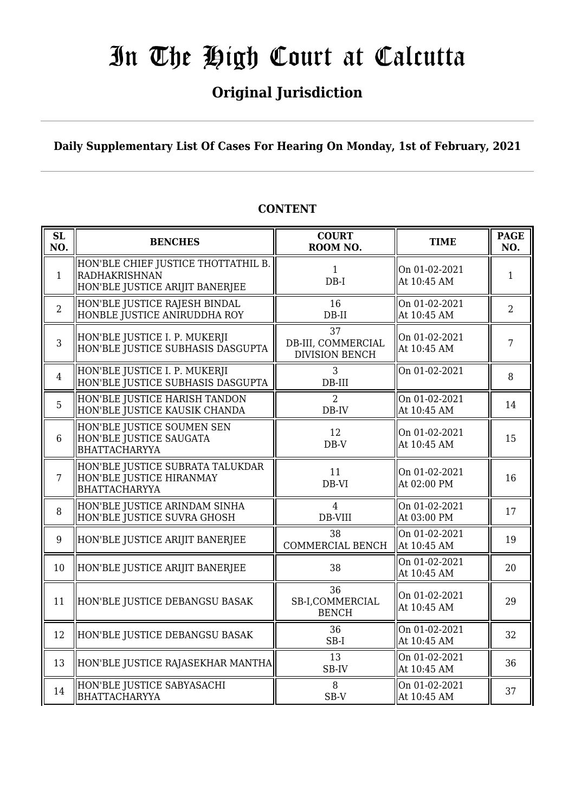### **Original Jurisdiction**

**Daily Supplementary List Of Cases For Hearing On Monday, 1st of February, 2021**

#### **SL SL BENCHES COURT**<br> **NO. BENCHES COURT ROOM NO. TIME PAGE**<br>**ROOM NO. TIME PAGE NO.** 1 HON'BLE CHIEF JUSTICE THOTTATHIL B. RADHAKRISHNAN HON'BLE JUSTICE ARIJIT BANERJEE 1 DB-I On 01-02-2021  $\left[\begin{array}{cc} 0 & 0 & 0 & 0 & 0 & 0 \\ 0 & 0 & 0 & 0 & 0 \\ 0 & 0 & 0 & 0 & 0 \\ 0 & 0 & 0 & 0 & 0 \\ 0 & 0 & 0 & 0 & 0 \\ 0 & 0 & 0 & 0 & 0 \\ 0 & 0 & 0 & 0 & 0 \\ 0 & 0 & 0 & 0 & 0 \\ 0 & 0 & 0 & 0 & 0 \\ 0 & 0 & 0 & 0 & 0 \\ 0 & 0 & 0 & 0 & 0 \\ 0 & 0 & 0 & 0 & 0 & 0 \\ 0 & 0 & 0 & 0 & 0 & 0 \\ 0 & 0 &$ 2 HON'BLE JUSTICE RAJESH BINDAL HONBLE JUSTICE ANIRUDDHA ROY 16 DB-II On 01-02-2021 At 10:45 AM  $\begin{array}{|c|c|} \hline 2 \\ 2 \end{array}$ 3 HON'BLE JUSTICE I. P. MUKERJI HON'BLE JUSTICE SUBHASIS DASGUPTA 37 DB-III, COMMERCIAL DIVISION BENCH On 01-02-2021  $\left[\begin{array}{cc} 0 & 0 & 1 & -0 & 2 & -2 & 0 & 2 \\ 0 & 0 & 4 & 5 & 4 & 0 \\ 0 & 0 & 4 & 5 & 4 & 0 \\ 0 & 0 & 0 & 0 & 0 & 0 \\ 0 & 0 & 0 & 0 & 0 & 0 \\ 0 & 0 & 0 & 0 & 0 & 0 \\ 0 & 0 & 0 & 0 & 0 & 0 \\ 0 & 0 & 0 & 0 & 0 & 0 \\ 0 & 0 & 0 & 0 & 0 & 0 \\ 0 & 0 & 0 & 0 & 0 & 0 \\ 0 & 0 & 0 & 0 & 0 & 0 \\ 0 & 0 &$ 4 HON'BLE JUSTICE I. P. MUKERJI HON'BLE JUSTICE SUBHASIS DASGUPTA 3 DB-III On 01-02-2021  $\bigcup_{8}$ 5 HON'BLE JUSTICE HARISH TANDON HON'BLE JUSTICE KAUSIK CHANDA  $\overline{2}$ DB-IV On 01-02-2021 At 10:45 AM  $\begin{array}{|c|c|} \hline 14 \end{array}$ 6 HON'BLE JUSTICE SOUMEN SEN HON'BLE JUSTICE SAUGATA BHATTACHARYYA 12 DB-V On 01-02-2021  $\left\| \begin{array}{ccc} 15 \\ 211 \ 0.45 \ 0.45 \ 0.45 \end{array} \right\|$  15 7 HON'BLE JUSTICE SUBRATA TALUKDAR HON'BLE JUSTICE HIRANMAY BHATTACHARYYA 11 DB-VI On 01-02-2021 At 02:00 PM  $\begin{array}{|c|c|} \hline 16 \\ h \end{array}$ 8 HON'BLE JUSTICE ARINDAM SINHA HON'BLE JUSTICE SUVRA GHOSH 4 DB-VIII On 01-02-2021 At 03:00 PM  $\begin{array}{|c|c|c|} \hline 17 \end{array}$ 9 HON'BLE JUSTICE ARIJIT BANERJEE  $\parallel$  2010  $\cdot$  38 COMMERCIAL BENCH On 01-02-2021  $\left\{ \begin{array}{c} \text{OH 01-02-2021} \\ \text{At 10:45 AM} \end{array} \right. \quad \left\| \begin{array}{c} \text{19} \\ \text{19} \end{array} \right.$ 10 HON'BLE JUSTICE ARIJIT BANERJEE  $\parallel$  38  $\parallel$  01-02-2021  $\left\| \begin{array}{c} 20 \\ \text{At } 10:45 \text{ AM} \end{array} \right\|$  20 11 HON'BLE JUSTICE DEBANGSU BASAK 36 SB-I,COMMERCIAL BENCH On 01-02-2021  $\left\| \begin{array}{c} 29 \\ \text{At } 10:45 \text{ AM} \end{array} \right\|$  29 12  $\parallel$  HON'BLE JUSTICE DEBANGSU BASAK  $\parallel$  36 SB-I On 01-02-2021  $\left\| \begin{array}{c} 32 \\ \text{At } 10:45 \text{ AM} \end{array} \right\|$ 13 HON'BLE JUSTICE RAJASEKHAR MANTHA SB-IV On 01-02-2021  $\left\| \begin{array}{cc} \n\text{Out } 01 - 02 - 2021 \\
\text{At } 10:45 \text{ AM} \n\end{array} \right\| \quad 36$ 14 HON'BLE JUSTICE SABYASACHI BHATTACHARYYA 8 SB-V On 01-02-2021  $\left\| \begin{array}{c} 37 \\ \text{At } 10:45 \text{ AM} \end{array} \right\|$

#### **CONTENT**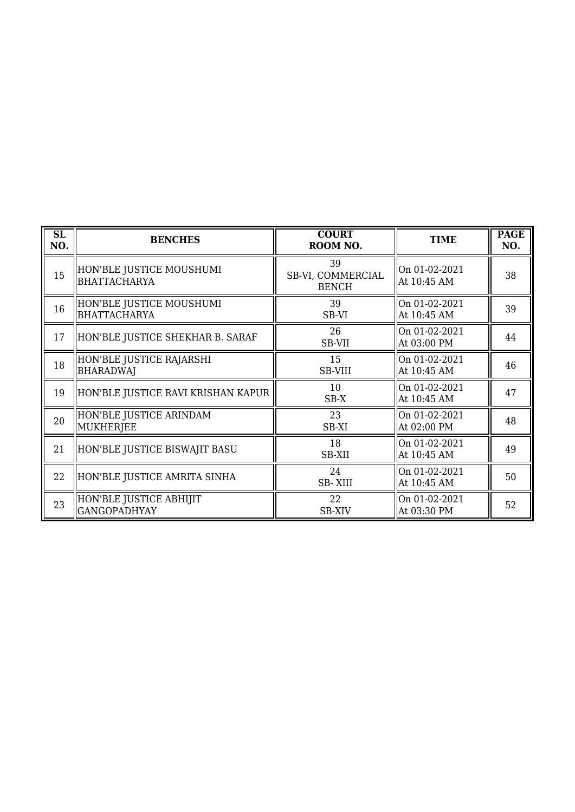| $\overline{\text{SL}}$<br>NO. | <b>BENCHES</b>                                  | <b>COURT</b><br>ROOM NO.                | <b>TIME</b>                  | <b>PAGE</b><br>NO. |
|-------------------------------|-------------------------------------------------|-----------------------------------------|------------------------------|--------------------|
| 15                            | HON'BLE JUSTICE MOUSHUMI<br>BHATTACHARYA        | 39<br>SB-VI, COMMERCIAL<br><b>BENCH</b> | On 01-02-2021<br>At 10:45 AM | 38                 |
| 16                            | HON'BLE JUSTICE MOUSHUMI<br><b>BHATTACHARYA</b> | 39<br>SB-VI                             | On 01-02-2021<br>At 10:45 AM | 39                 |
| 17                            | HON'BLE JUSTICE SHEKHAR B. SARAF                | 26<br>SB-VII                            | On 01-02-2021<br>At 03:00 PM | 44                 |
| 18                            | HON'BLE JUSTICE RAJARSHI<br><b>BHARADWAJ</b>    | 15<br><b>SB-VIII</b>                    | On 01-02-2021<br>At 10:45 AM | 46                 |
| 19                            | HON'BLE JUSTICE RAVI KRISHAN KAPUR              | 10<br>$SB-X$                            | On 01-02-2021<br>At 10:45 AM | 47                 |
| 20                            | HON'BLE JUSTICE ARINDAM<br>MUKHERJEE            | 23<br>SB-XI                             | On 01-02-2021<br>At 02:00 PM | 48                 |
| 21                            | HON'BLE JUSTICE BISWAJIT BASU                   | 18<br>SB-XII                            | On 01-02-2021<br>At 10:45 AM | 49                 |
| 22                            | HON'BLE JUSTICE AMRITA SINHA                    | 24<br><b>SB-XIII</b>                    | On 01-02-2021<br>At 10:45 AM | 50                 |
| 23                            | HON'BLE JUSTICE ABHIJIT<br><b>GANGOPADHYAY</b>  | 22<br><b>SB-XIV</b>                     | On 01-02-2021<br>At 03:30 PM | 52                 |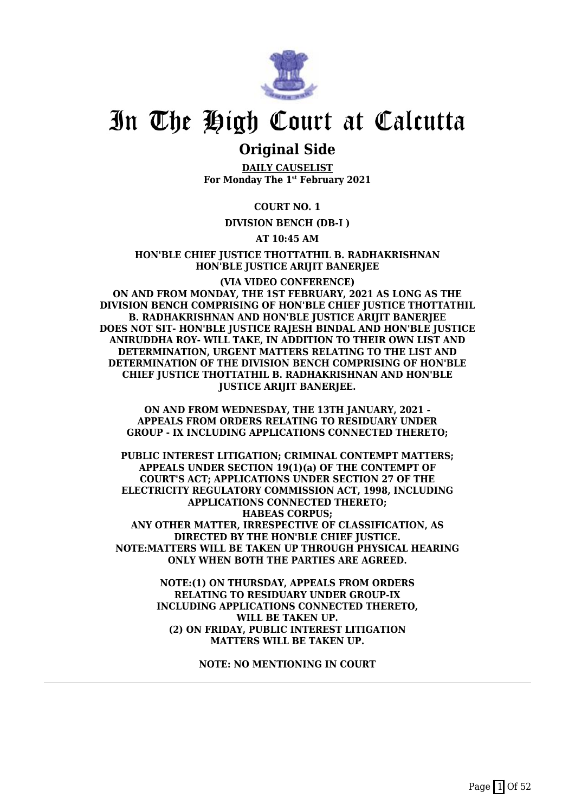

### **Original Side**

**DAILY CAUSELIST For Monday The 1st February 2021**

**COURT NO. 1**

**DIVISION BENCH (DB-I )**

**AT 10:45 AM**

**HON'BLE CHIEF JUSTICE THOTTATHIL B. RADHAKRISHNAN HON'BLE JUSTICE ARIJIT BANERJEE**

**(VIA VIDEO CONFERENCE) ON AND FROM MONDAY, THE 1ST FEBRUARY, 2021 AS LONG AS THE DIVISION BENCH COMPRISING OF HON'BLE CHIEF JUSTICE THOTTATHIL B. RADHAKRISHNAN AND HON'BLE JUSTICE ARIJIT BANERJEE DOES NOT SIT- HON'BLE JUSTICE RAJESH BINDAL AND HON'BLE JUSTICE ANIRUDDHA ROY- WILL TAKE, IN ADDITION TO THEIR OWN LIST AND DETERMINATION, URGENT MATTERS RELATING TO THE LIST AND DETERMINATION OF THE DIVISION BENCH COMPRISING OF HON'BLE CHIEF JUSTICE THOTTATHIL B. RADHAKRISHNAN AND HON'BLE JUSTICE ARIJIT BANERJEE.**

**ON AND FROM WEDNESDAY, THE 13TH JANUARY, 2021 - APPEALS FROM ORDERS RELATING TO RESIDUARY UNDER GROUP - IX INCLUDING APPLICATIONS CONNECTED THERETO;**

**PUBLIC INTEREST LITIGATION; CRIMINAL CONTEMPT MATTERS; APPEALS UNDER SECTION 19(1)(a) OF THE CONTEMPT OF COURT'S ACT; APPLICATIONS UNDER SECTION 27 OF THE ELECTRICITY REGULATORY COMMISSION ACT, 1998, INCLUDING APPLICATIONS CONNECTED THERETO; HABEAS CORPUS; ANY OTHER MATTER, IRRESPECTIVE OF CLASSIFICATION, AS DIRECTED BY THE HON'BLE CHIEF JUSTICE. NOTE:MATTERS WILL BE TAKEN UP THROUGH PHYSICAL HEARING ONLY WHEN BOTH THE PARTIES ARE AGREED.**

> **NOTE:(1) ON THURSDAY, APPEALS FROM ORDERS RELATING TO RESIDUARY UNDER GROUP-IX INCLUDING APPLICATIONS CONNECTED THERETO, WILL BE TAKEN UP. (2) ON FRIDAY, PUBLIC INTEREST LITIGATION MATTERS WILL BE TAKEN UP.**

> > **NOTE: NO MENTIONING IN COURT**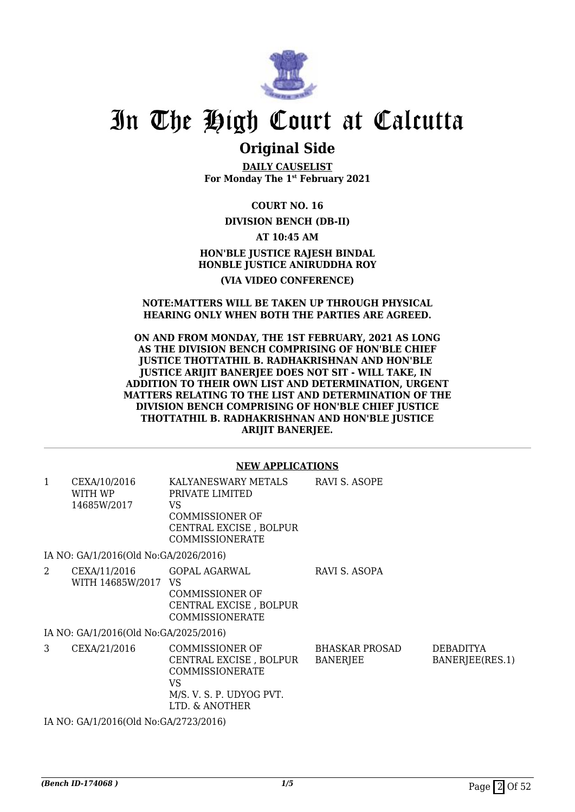

### **Original Side**

**DAILY CAUSELIST For Monday The 1st February 2021**

**COURT NO. 16**

#### **DIVISION BENCH (DB-II)**

**AT 10:45 AM**

#### **HON'BLE JUSTICE RAJESH BINDAL HONBLE JUSTICE ANIRUDDHA ROY (VIA VIDEO CONFERENCE)**

#### **NOTE:MATTERS WILL BE TAKEN UP THROUGH PHYSICAL HEARING ONLY WHEN BOTH THE PARTIES ARE AGREED.**

**ON AND FROM MONDAY, THE 1ST FEBRUARY, 2021 AS LONG AS THE DIVISION BENCH COMPRISING OF HON'BLE CHIEF JUSTICE THOTTATHIL B. RADHAKRISHNAN AND HON'BLE JUSTICE ARIJIT BANERJEE DOES NOT SIT - WILL TAKE, IN ADDITION TO THEIR OWN LIST AND DETERMINATION, URGENT MATTERS RELATING TO THE LIST AND DETERMINATION OF THE DIVISION BENCH COMPRISING OF HON'BLE CHIEF JUSTICE THOTTATHIL B. RADHAKRISHNAN AND HON'BLE JUSTICE ARIJIT BANERJEE.**

#### **NEW APPLICATIONS**

| 1 | CEXA/10/2016<br>WITH WP<br>14685W/2017         | KALYANESWARY METALS<br>PRIVATE LIMITED<br>VS.<br><b>COMMISSIONER OF</b><br>CENTRAL EXCISE, BOLPUR<br><b>COMMISSIONERATE</b> | RAVI S. ASOPE                     |                                     |
|---|------------------------------------------------|-----------------------------------------------------------------------------------------------------------------------------|-----------------------------------|-------------------------------------|
|   | IA NO: GA/1/2016(Old No:GA/2026/2016)          |                                                                                                                             |                                   |                                     |
| 2 | CEXA/11/2016 GOPAL AGARWAL<br>WITH 14685W/2017 | VS.<br><b>COMMISSIONER OF</b><br>CENTRAL EXCISE, BOLPUR<br><b>COMMISSIONERATE</b>                                           | RAVI S. ASOPA                     |                                     |
|   | IA NO: GA/1/2016(Old No:GA/2025/2016)          |                                                                                                                             |                                   |                                     |
| 3 | CEXA/21/2016                                   | COMMISSIONER OF<br>CENTRAL EXCISE , BOLPUR<br>COMMISSIONERATE<br>VS<br>M/S. V. S. P. UDYOG PVT.<br>LTD. & ANOTHER           | BHASKAR PROSAD<br><b>BANERJEE</b> | <b>DEBADITYA</b><br>BANERJEE(RES.1) |
|   | IA NO: GA/1/2016(Old No:GA/2723/2016)          |                                                                                                                             |                                   |                                     |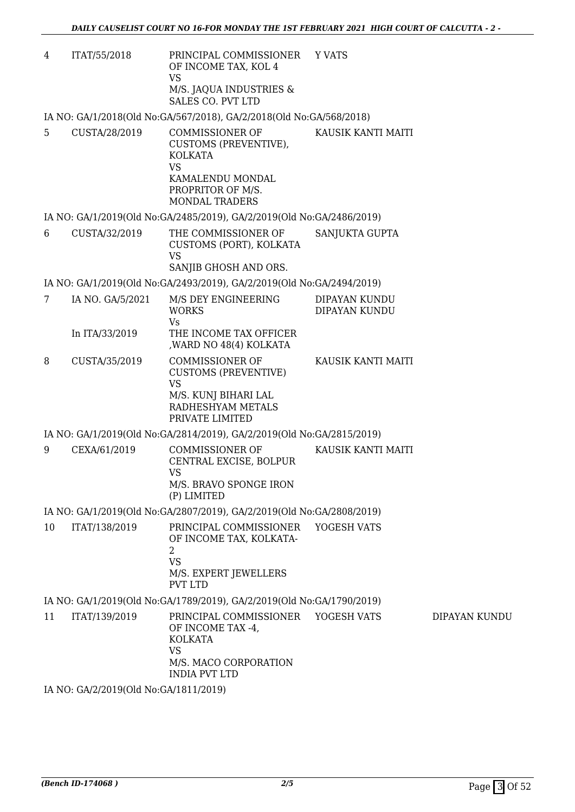4 ITAT/55/2018 PRINCIPAL COMMISSIONER OF INCOME TAX, KOL 4 VS M/S. JAQUA INDUSTRIES & SALES CO. PVT LTD Y VATS

IA NO: GA/1/2018(Old No:GA/567/2018), GA/2/2018(Old No:GA/568/2018)

5 CUSTA/28/2019 COMMISSIONER OF CUSTOMS (PREVENTIVE), KOLKATA VS KAMALENDU MONDAL PROPRITOR OF M/S. MONDAL TRADERS KAUSIK KANTI MAITI

IA NO: GA/1/2019(Old No:GA/2485/2019), GA/2/2019(Old No:GA/2486/2019)

6 CUSTA/32/2019 THE COMMISSIONER OF CUSTOMS (PORT), KOLKATA VS SANJIB GHOSH AND ORS. SANJUKTA GUPTA

IA NO: GA/1/2019(Old No:GA/2493/2019), GA/2/2019(Old No:GA/2494/2019)

| IA NO. GA/5/2021 | M/S DEY ENGINEERING    | DIPAYAN KUNDU |
|------------------|------------------------|---------------|
|                  | <b>WORKS</b>           | DIPAYAN KUNDU |
|                  | Vs                     |               |
| In ITA/33/2019   | THE INCOME TAX OFFICER |               |
|                  | ,WARD NO 48(4) KOLKATA |               |
|                  |                        |               |

8 CUSTA/35/2019 COMMISSIONER OF CUSTOMS (PREVENTIVE) VS M/S. KUNJ BIHARI LAL RADHESHYAM METALS PRIVATE LIMITED KAUSIK KANTI MAITI

IA NO: GA/1/2019(Old No:GA/2814/2019), GA/2/2019(Old No:GA/2815/2019)

9 CEXA/61/2019 COMMISSIONER OF CENTRAL EXCISE, BOLPUR VS M/S. BRAVO SPONGE IRON (P) LIMITED KAUSIK KANTI MAITI

IA NO: GA/1/2019(Old No:GA/2807/2019), GA/2/2019(Old No:GA/2808/2019)

10 ITAT/138/2019 PRINCIPAL COMMISSIONER OF INCOME TAX, KOLKATA-2 VS M/S. EXPERT JEWELLERS PVT LTD YOGESH VATS

IA NO: GA/1/2019(Old No:GA/1789/2019), GA/2/2019(Old No:GA/1790/2019)

11 ITAT/139/2019 PRINCIPAL COMMISSIONER OF INCOME TAX -4, KOLKATA VS M/S. MACO CORPORATION INDIA PVT LTD YOGESH VATS DIPAYAN KUNDU

IA NO: GA/2/2019(Old No:GA/1811/2019)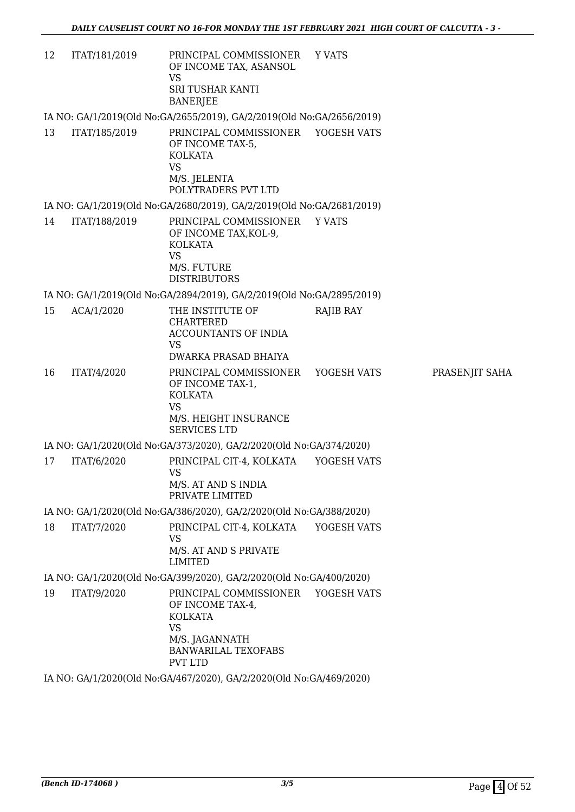| 12 | ITAT/181/2019 | PRINCIPAL COMMISSIONER<br>OF INCOME TAX, ASANSOL<br><b>VS</b><br><b>SRI TUSHAR KANTI</b><br><b>BANERJEE</b>                           | Y VATS           |                |
|----|---------------|---------------------------------------------------------------------------------------------------------------------------------------|------------------|----------------|
|    |               | IA NO: GA/1/2019(Old No:GA/2655/2019), GA/2/2019(Old No:GA/2656/2019)                                                                 |                  |                |
| 13 | ITAT/185/2019 | PRINCIPAL COMMISSIONER YOGESH VATS<br>OF INCOME TAX-5,<br><b>KOLKATA</b><br><b>VS</b><br>M/S. JELENTA<br>POLYTRADERS PVT LTD          |                  |                |
|    |               | IA NO: GA/1/2019(Old No:GA/2680/2019), GA/2/2019(Old No:GA/2681/2019)                                                                 |                  |                |
| 14 | ITAT/188/2019 | PRINCIPAL COMMISSIONER Y VATS<br>OF INCOME TAX, KOL-9,<br><b>KOLKATA</b><br><b>VS</b><br>M/S. FUTURE<br><b>DISTRIBUTORS</b>           |                  |                |
|    |               | IA NO: GA/1/2019(Old No:GA/2894/2019), GA/2/2019(Old No:GA/2895/2019)                                                                 |                  |                |
| 15 | ACA/1/2020    | THE INSTITUTE OF<br><b>CHARTERED</b><br>ACCOUNTANTS OF INDIA<br><b>VS</b><br>DWARKA PRASAD BHAIYA                                     | <b>RAJIB RAY</b> |                |
| 16 | ITAT/4/2020   | PRINCIPAL COMMISSIONER<br>OF INCOME TAX-1,<br><b>KOLKATA</b><br><b>VS</b><br>M/S. HEIGHT INSURANCE<br><b>SERVICES LTD</b>             | YOGESH VATS      | PRASENJIT SAHA |
|    |               | IA NO: GA/1/2020(Old No:GA/373/2020), GA/2/2020(Old No:GA/374/2020)                                                                   |                  |                |
| 17 | ITAT/6/2020   | PRINCIPAL CIT-4, KOLKATA<br><b>VS</b><br>M/S. AT AND S INDIA<br>PRIVATE LIMITED                                                       | YOGESH VATS      |                |
|    |               | IA NO: GA/1/2020(Old No:GA/386/2020), GA/2/2020(Old No:GA/388/2020)                                                                   |                  |                |
| 18 | ITAT/7/2020   | PRINCIPAL CIT-4, KOLKATA YOGESH VATS<br><b>VS</b><br>M/S. AT AND S PRIVATE<br><b>LIMITED</b>                                          |                  |                |
|    |               | IA NO: GA/1/2020(Old No:GA/399/2020), GA/2/2020(Old No:GA/400/2020)                                                                   |                  |                |
| 19 | ITAT/9/2020   | PRINCIPAL COMMISSIONER YOGESH VATS<br>OF INCOME TAX-4,<br><b>KOLKATA</b><br><b>VS</b><br>M/S. JAGANNATH<br><b>BANWARILAL TEXOFABS</b> |                  |                |
|    |               | <b>PVT LTD</b><br>IA NO: GA/1/2020(Old No:GA/467/2020), GA/2/2020(Old No:GA/469/2020)                                                 |                  |                |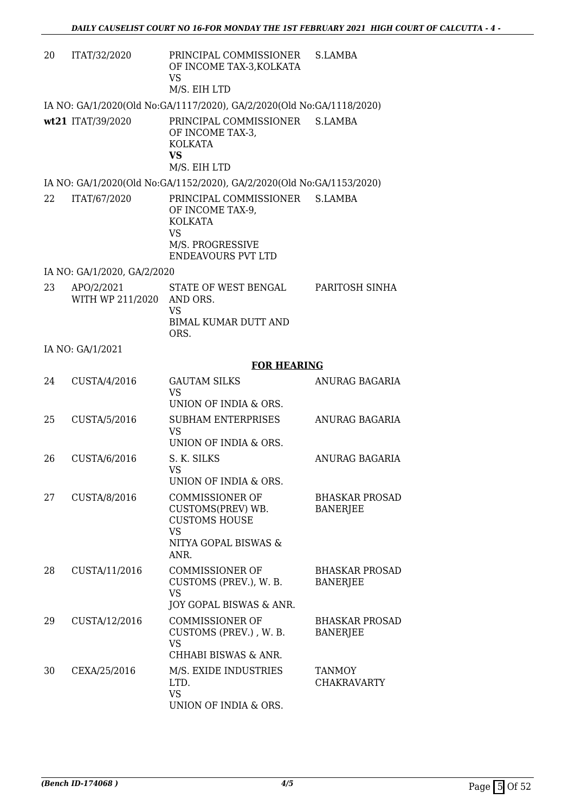| 20 | ITAT/32/2020                   | PRINCIPAL COMMISSIONER<br>OF INCOME TAX-3, KOLKATA<br><b>VS</b><br>M/S. EIH LTD                                                    | S.LAMBA                                  |
|----|--------------------------------|------------------------------------------------------------------------------------------------------------------------------------|------------------------------------------|
|    |                                | IA NO: GA/1/2020(Old No:GA/1117/2020), GA/2/2020(Old No:GA/1118/2020)                                                              |                                          |
|    | wt21 ITAT/39/2020              | PRINCIPAL COMMISSIONER<br>OF INCOME TAX-3,<br><b>KOLKATA</b><br><b>VS</b><br>M/S. EIH LTD                                          | S.LAMBA                                  |
|    |                                | IA NO: GA/1/2020(Old No:GA/1152/2020), GA/2/2020(Old No:GA/1153/2020)                                                              |                                          |
| 22 | ITAT/67/2020                   | PRINCIPAL COMMISSIONER S.LAMBA<br>OF INCOME TAX-9,<br><b>KOLKATA</b><br><b>VS</b><br>M/S. PROGRESSIVE<br><b>ENDEAVOURS PVT LTD</b> |                                          |
|    | IA NO: GA/1/2020, GA/2/2020    |                                                                                                                                    |                                          |
| 23 | APO/2/2021<br>WITH WP 211/2020 | STATE OF WEST BENGAL<br>AND ORS.<br><b>VS</b><br><b>BIMAL KUMAR DUTT AND</b>                                                       | PARITOSH SINHA                           |
|    |                                | ORS.                                                                                                                               |                                          |
|    | IA NO: GA/1/2021               |                                                                                                                                    |                                          |
| 24 | CUSTA/4/2016                   | <b>FOR HEARING</b><br><b>GAUTAM SILKS</b>                                                                                          | ANURAG BAGARIA                           |
|    |                                | <b>VS</b><br>UNION OF INDIA & ORS.                                                                                                 |                                          |
| 25 | CUSTA/5/2016                   | <b>SUBHAM ENTERPRISES</b><br><b>VS</b><br>UNION OF INDIA & ORS.                                                                    | ANURAG BAGARIA                           |
| 26 | CUSTA/6/2016                   | S. K. SILKS<br><b>VS</b><br>UNION OF INDIA & ORS.                                                                                  | ANURAG BAGARIA                           |
| 27 | CUSTA/8/2016                   | <b>COMMISSIONER OF</b><br>CUSTOMS(PREV) WB.<br><b>CUSTOMS HOUSE</b><br>VS<br>NITYA GOPAL BISWAS &<br>ANR.                          | <b>BHASKAR PROSAD</b><br><b>BANERJEE</b> |
| 28 | CUSTA/11/2016                  | <b>COMMISSIONER OF</b><br>CUSTOMS (PREV.), W. B.<br><b>VS</b><br>JOY GOPAL BISWAS & ANR.                                           | <b>BHASKAR PROSAD</b><br><b>BANERJEE</b> |
| 29 | CUSTA/12/2016                  | <b>COMMISSIONER OF</b><br>CUSTOMS (PREV.), W. B.<br><b>VS</b><br>CHHABI BISWAS & ANR.                                              | <b>BHASKAR PROSAD</b><br><b>BANERJEE</b> |
| 30 | CEXA/25/2016                   | M/S. EXIDE INDUSTRIES<br>LTD.<br><b>VS</b><br>UNION OF INDIA & ORS.                                                                | <b>TANMOY</b><br><b>CHAKRAVARTY</b>      |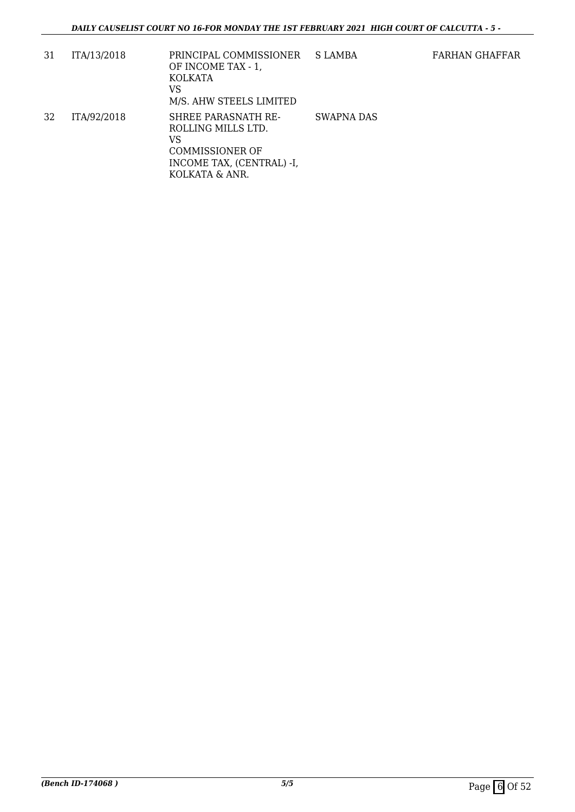| 31 | ITA/13/2018 | PRINCIPAL COMMISSIONER<br>OF INCOME TAX - 1,<br>KOLKATA<br>VS<br>M/S. AHW STEELS LIMITED                                 | <b>S LAMBA</b> |
|----|-------------|--------------------------------------------------------------------------------------------------------------------------|----------------|
| 32 | ITA/92/2018 | SHREE PARASNATH RE-<br>ROLLING MILLS LTD.<br>VS<br><b>COMMISSIONER OF</b><br>INCOME TAX, (CENTRAL) -I,<br>KOLKATA & ANR. | SWAPNA DAS     |

FARHAN GHAFFAR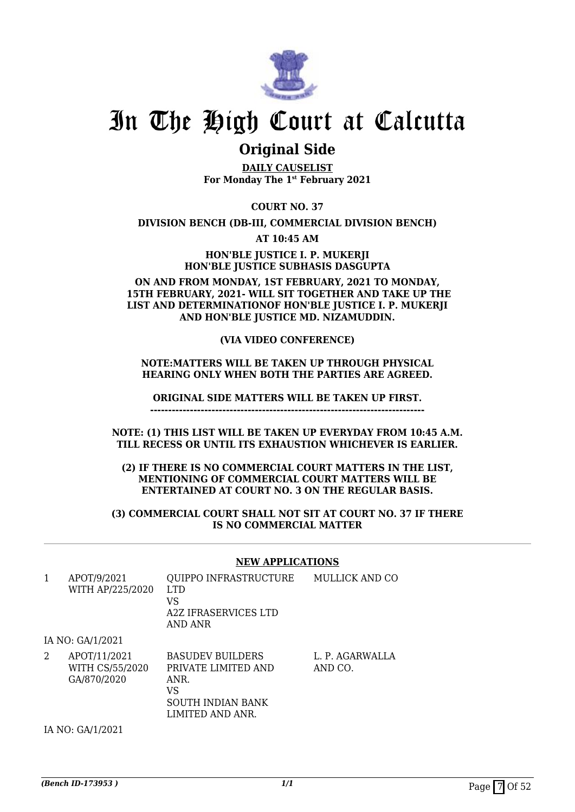

### **Original Side**

**DAILY CAUSELIST For Monday The 1st February 2021**

**COURT NO. 37**

**DIVISION BENCH (DB-III, COMMERCIAL DIVISION BENCH)**

**AT 10:45 AM**

**HON'BLE JUSTICE I. P. MUKERJI HON'BLE JUSTICE SUBHASIS DASGUPTA**

#### **ON AND FROM MONDAY, 1ST FEBRUARY, 2021 TO MONDAY, 15TH FEBRUARY, 2021- WILL SIT TOGETHER AND TAKE UP THE LIST AND DETERMINATIONOF HON'BLE JUSTICE I. P. MUKERJI AND HON'BLE JUSTICE MD. NIZAMUDDIN.**

#### **(VIA VIDEO CONFERENCE)**

#### **NOTE:MATTERS WILL BE TAKEN UP THROUGH PHYSICAL HEARING ONLY WHEN BOTH THE PARTIES ARE AGREED.**

**ORIGINAL SIDE MATTERS WILL BE TAKEN UP FIRST.**

**----------------------------------------------------------------------------**

**NOTE: (1) THIS LIST WILL BE TAKEN UP EVERYDAY FROM 10:45 A.M. TILL RECESS OR UNTIL ITS EXHAUSTION WHICHEVER IS EARLIER.**

**(2) IF THERE IS NO COMMERCIAL COURT MATTERS IN THE LIST, MENTIONING OF COMMERCIAL COURT MATTERS WILL BE ENTERTAINED AT COURT NO. 3 ON THE REGULAR BASIS.**

**(3) COMMERCIAL COURT SHALL NOT SIT AT COURT NO. 37 IF THERE IS NO COMMERCIAL MATTER**

#### **NEW APPLICATIONS**

| 1 | APOT/9/2021<br>WITH AP/225/2020                | QUIPPO INFRASTRUCTURE<br>LTD.<br>VS<br>A2Z IFRASERVICES LTD<br>AND ANR                                       | MULLICK AND CO             |
|---|------------------------------------------------|--------------------------------------------------------------------------------------------------------------|----------------------------|
|   | IA NO: GA/1/2021                               |                                                                                                              |                            |
| 2 | APOT/11/2021<br>WITH CS/55/2020<br>GA/870/2020 | <b>BASUDEV BUILDERS</b><br>PRIVATE LIMITED AND<br>ANR.<br>VS<br><b>SOUTH INDIAN BANK</b><br>LIMITED AND ANR. | L. P. AGARWALLA<br>AND CO. |

IA NO: GA/1/2021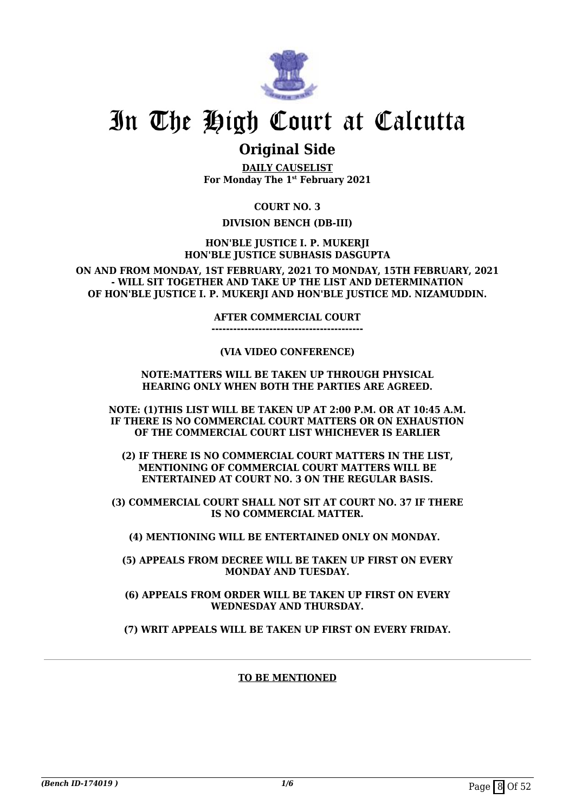

### **Original Side**

**DAILY CAUSELIST For Monday The 1st February 2021**

**COURT NO. 3**

#### **DIVISION BENCH (DB-III)**

**HON'BLE JUSTICE I. P. MUKERJI HON'BLE JUSTICE SUBHASIS DASGUPTA**

**ON AND FROM MONDAY, 1ST FEBRUARY, 2021 TO MONDAY, 15TH FEBRUARY, 2021 - WILL SIT TOGETHER AND TAKE UP THE LIST AND DETERMINATION OF HON'BLE JUSTICE I. P. MUKERJI AND HON'BLE JUSTICE MD. NIZAMUDDIN.**

**AFTER COMMERCIAL COURT**

**------------------------------------------**

#### **(VIA VIDEO CONFERENCE)**

#### **NOTE:MATTERS WILL BE TAKEN UP THROUGH PHYSICAL HEARING ONLY WHEN BOTH THE PARTIES ARE AGREED.**

**NOTE: (1)THIS LIST WILL BE TAKEN UP AT 2:00 P.M. OR AT 10:45 A.M. IF THERE IS NO COMMERCIAL COURT MATTERS OR ON EXHAUSTION OF THE COMMERCIAL COURT LIST WHICHEVER IS EARLIER**

**(2) IF THERE IS NO COMMERCIAL COURT MATTERS IN THE LIST, MENTIONING OF COMMERCIAL COURT MATTERS WILL BE ENTERTAINED AT COURT NO. 3 ON THE REGULAR BASIS.**

**(3) COMMERCIAL COURT SHALL NOT SIT AT COURT NO. 37 IF THERE IS NO COMMERCIAL MATTER.**

**(4) MENTIONING WILL BE ENTERTAINED ONLY ON MONDAY.** 

**(5) APPEALS FROM DECREE WILL BE TAKEN UP FIRST ON EVERY MONDAY AND TUESDAY.**

**(6) APPEALS FROM ORDER WILL BE TAKEN UP FIRST ON EVERY WEDNESDAY AND THURSDAY.**

**(7) WRIT APPEALS WILL BE TAKEN UP FIRST ON EVERY FRIDAY.**

#### **TO BE MENTIONED**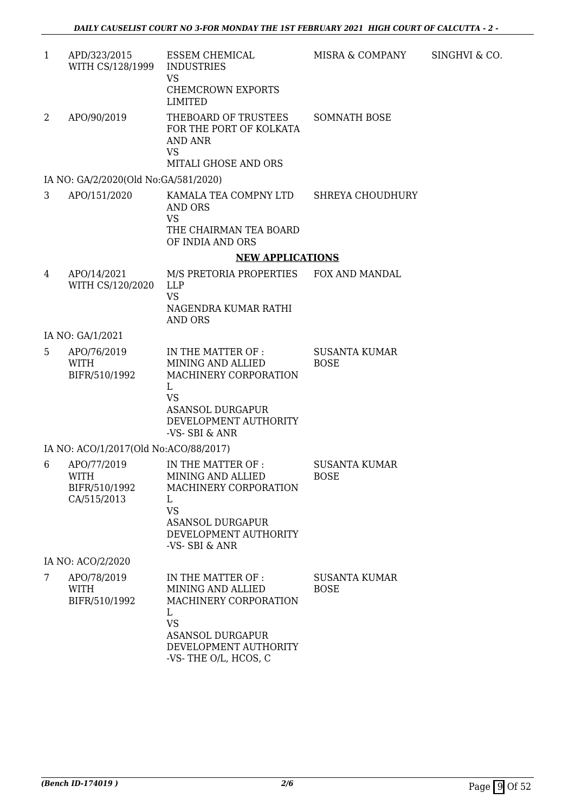1 APD/323/2015 WITH CS/128/1999 ESSEM CHEMICAL INDUSTRIES VS CHEMCROWN EXPORTS LIMITED MISRA & COMPANY SINGHVI & CO. 2 APO/90/2019 THEBOARD OF TRUSTEES FOR THE PORT OF KOLKATA AND ANR VS MITALI GHOSE AND ORS SOMNATH BOSE

IA NO: GA/2/2020(Old No:GA/581/2020)

3 APO/151/2020 KAMALA TEA COMPNY LTD AND ORS VS THE CHAIRMAN TEA BOARD OF INDIA AND ORS SHREYA CHOUDHURY

#### **NEW APPLICATIONS**

4 APO/14/2021 WITH CS/120/2020 M/S PRETORIA PROPERTIES LLP VS NAGENDRA KUMAR RATHI AND ORS FOX AND MANDAL

IA NO: GA/1/2021

5 APO/76/2019 WITH BIFR/510/1992 IN THE MATTER OF : MINING AND ALLIED MACHINERY CORPORATION  $\mathbf{L}$ VS ASANSOL DURGAPUR DEVELOPMENT AUTHORITY -VS- SBI & ANR SUSANTA KUMAR **BOSE** 

IA NO: ACO/1/2017(Old No:ACO/88/2017)

6 APO/77/2019 WITH BIFR/510/1992 CA/515/2013 IN THE MATTER OF : MINING AND ALLIED MACHINERY CORPORATION  $\mathbf{L}$ VS ASANSOL DURGAPUR DEVELOPMENT AUTHORITY -VS- SBI & ANR SUSANTA KUMAR BOSE

IA NO: ACO/2/2020

| APO/78/2019   | IN THE MATTER OF :      | <b>SUSANTA KUMAR</b> |
|---------------|-------------------------|----------------------|
| WITH          | MINING AND ALLIED       | <b>BOSE</b>          |
| BIFR/510/1992 | MACHINERY CORPORATION   |                      |
|               |                         |                      |
|               | VS                      |                      |
|               | <b>ASANSOL DURGAPUR</b> |                      |
|               | DEVELOPMENT AUTHORITY   |                      |
|               | -VS-THE O/L, HCOS, C    |                      |
|               |                         |                      |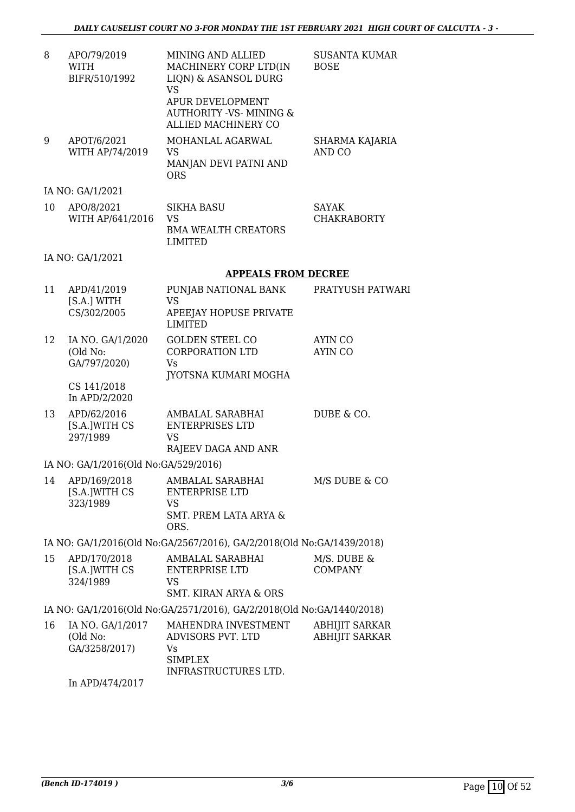| 8  | APO/79/2019<br>WITH<br>BIFR/510/1992          | MINING AND ALLIED<br>MACHINERY CORP LTD(IN<br>LIQN) & ASANSOL DURG<br><b>VS</b><br>APUR DEVELOPMENT<br><b>AUTHORITY -VS- MINING &amp;</b><br><b>ALLIED MACHINERY CO</b> | <b>SUSANTA KUMAR</b><br><b>BOSE</b>            |
|----|-----------------------------------------------|-------------------------------------------------------------------------------------------------------------------------------------------------------------------------|------------------------------------------------|
| 9  | APOT/6/2021<br>WITH AP/74/2019                | MOHANLAL AGARWAL<br><b>VS</b><br>MANJAN DEVI PATNI AND<br><b>ORS</b>                                                                                                    | SHARMA KAJARIA<br>AND CO                       |
|    | IA NO: GA/1/2021                              |                                                                                                                                                                         |                                                |
| 10 | APO/8/2021<br>WITH AP/641/2016                | <b>SIKHA BASU</b><br><b>VS</b><br><b>BMA WEALTH CREATORS</b><br><b>LIMITED</b>                                                                                          | <b>SAYAK</b><br><b>CHAKRABORTY</b>             |
|    | IA NO: GA/1/2021                              |                                                                                                                                                                         |                                                |
|    |                                               | <b>APPEALS FROM DECREE</b>                                                                                                                                              |                                                |
| 11 | APD/41/2019<br>[S.A.] WITH<br>CS/302/2005     | PUNJAB NATIONAL BANK<br><b>VS</b><br><b>APEEJAY HOPUSE PRIVATE</b><br><b>LIMITED</b>                                                                                    | PRATYUSH PATWARI                               |
| 12 | IA NO. GA/1/2020<br>(Old No:<br>GA/797/2020)  | <b>GOLDEN STEEL CO</b><br><b>CORPORATION LTD</b><br><b>Vs</b><br>JYOTSNA KUMARI MOGHA                                                                                   | <b>AYIN CO</b><br><b>AYIN CO</b>               |
|    | CS 141/2018<br>In APD/2/2020                  |                                                                                                                                                                         |                                                |
| 13 | APD/62/2016<br>[S.A.]WITH CS<br>297/1989      | AMBALAL SARABHAI<br><b>ENTERPRISES LTD</b><br><b>VS</b><br>RAJEEV DAGA AND ANR                                                                                          | DUBE & CO.                                     |
|    | IA NO: GA/1/2016(Old No:GA/529/2016)          |                                                                                                                                                                         |                                                |
| 14 | APD/169/2018<br>[S.A.]WITH CS<br>323/1989     | AMBALAL SARABHAI<br><b>ENTERPRISE LTD</b><br><b>VS</b><br><b>SMT. PREM LATA ARYA &amp;</b><br>ORS.                                                                      | M/S DUBE & CO                                  |
|    |                                               | IA NO: GA/1/2016(Old No:GA/2567/2016), GA/2/2018(Old No:GA/1439/2018)                                                                                                   |                                                |
| 15 | APD/170/2018<br>[S.A.]WITH CS<br>324/1989     | AMBALAL SARABHAI<br><b>ENTERPRISE LTD</b><br><b>VS</b><br><b>SMT. KIRAN ARYA &amp; ORS</b>                                                                              | M/S. DUBE &<br><b>COMPANY</b>                  |
|    |                                               | IA NO: GA/1/2016(Old No:GA/2571/2016), GA/2/2018(Old No:GA/1440/2018)                                                                                                   |                                                |
| 16 | IA NO. GA/1/2017<br>(Old No:<br>GA/3258/2017) | MAHENDRA INVESTMENT<br>ADVISORS PVT. LTD<br>Vs.<br><b>SIMPLEX</b><br>INFRASTRUCTURES LTD.                                                                               | <b>ABHIJIT SARKAR</b><br><b>ABHIJIT SARKAR</b> |

In APD/474/2017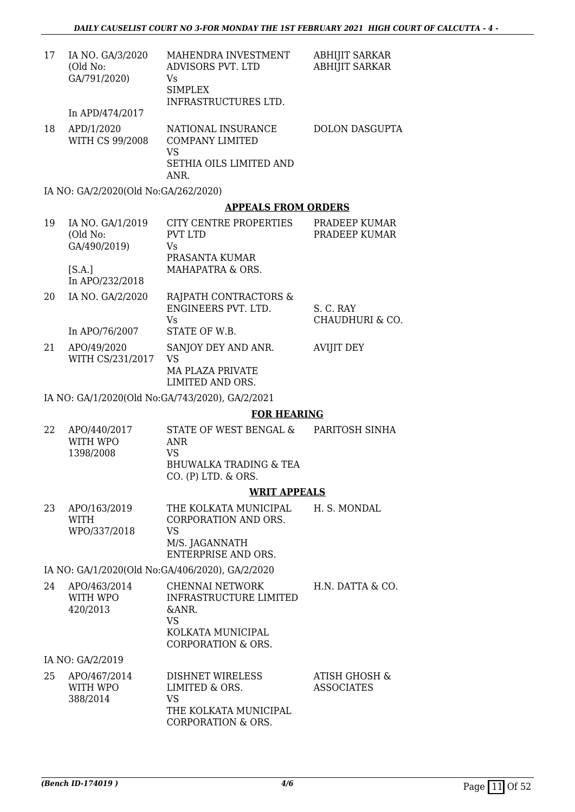| 17 | IA NO. GA/3/2020<br>(Old No:<br>GA/791/2020) | MAHENDRA INVESTMENT<br>ADVISORS PVT. LTD<br>Vs<br><b>SIMPLEX</b><br>INFRASTRUCTURES LTD. | ABHIJIT SARKAR<br><b>ABHIJIT SARKAR</b> |
|----|----------------------------------------------|------------------------------------------------------------------------------------------|-----------------------------------------|
|    | In APD/474/2017                              |                                                                                          |                                         |
| 18 | APD/1/2020<br>WITH CS 99/2008                | NATIONAL INSURANCE<br><b>COMPANY LIMITED</b><br>VS<br>SETHIA OILS LIMITED AND<br>ANR.    | <b>DOLON DASGUPTA</b>                   |
|    | IA NO: GA/2/2020(Old No:GA/262/2020)         |                                                                                          |                                         |

#### **APPEALS FROM ORDERS**

| 19 | IA NO. GA/1/2019<br>(Old No: | CITY CENTRE PROPERTIES<br>PVT LTD | PRADEEP KUMAR<br>PRADEEP KUMAR |
|----|------------------------------|-----------------------------------|--------------------------------|
|    | GA/490/2019)                 | Vs                                |                                |
|    |                              | PRASANTA KUMAR                    |                                |
|    | [S.A.]<br>In APO/232/2018    | MAHAPATRA & ORS.                  |                                |
| 20 | IA NO. GA/2/2020             | RAJPATH CONTRACTORS &             |                                |

|    | $20$ $11110$ , $01121000$       | <u>RULINII OOITIRIOI OINO &amp;</u><br>ENGINEERS PVT. LTD.<br>Vs  | S. C. RAY<br><b>CHAUDHURI &amp; CO.</b> |
|----|---------------------------------|-------------------------------------------------------------------|-----------------------------------------|
|    | In APO/76/2007                  | STATE OF W.B.                                                     |                                         |
| 21 | APO/49/2020<br>WITH CS/231/2017 | SANJOY DEY AND ANR.<br>VS<br>MA PLAZA PRIVATE<br>LIMITED AND ORS. | AVIJIT DEY                              |

IA NO: GA/1/2020(Old No:GA/743/2020), GA/2/2021

#### **FOR HEARING**

| 22 | APO/440/2017<br>WITH WPO<br>1398/2008 | STATE OF WEST BENGAL &<br>ANR<br>VS<br>BHUWALKA TRADING & TEA | PARITOSH SINHA |
|----|---------------------------------------|---------------------------------------------------------------|----------------|
|    |                                       | $CO.$ (P) LTD. $&$ ORS.                                       |                |
|    |                                       | <b>WRIT APPEALS</b>                                           |                |

23 APO/163/2019 WITH WPO/337/2018 THE KOLKATA MUNICIPAL CORPORATION AND ORS. VS M/S. JAGANNATH ENTERPRISE AND ORS. H. S. MONDAL

IA NO: GA/1/2020(Old No:GA/406/2020), GA/2/2020

| 24 | APO/463/2014 | CHENNAI NETWORK        | H.N. DATTA & CO. |
|----|--------------|------------------------|------------------|
|    | WITH WPO     | INFRASTRUCTURE LIMITED |                  |
|    | 420/2013     | $\&$ ANR.              |                  |
|    |              | VS                     |                  |
|    |              | KOLKATA MUNICIPAL      |                  |
|    |              | CORPORATION & ORS.     |                  |

IA NO: GA/2/2019

| APO/467/2014 | <b>DISHNET WIRELESS</b> | ATISH GHOSH &     |
|--------------|-------------------------|-------------------|
| WITH WPO     | LIMITED & ORS.          | <b>ASSOCIATES</b> |
| 388/2014     | VS.                     |                   |
|              | THE KOLKATA MUNICIPAL   |                   |
|              | CORPORATION & ORS.      |                   |
|              |                         |                   |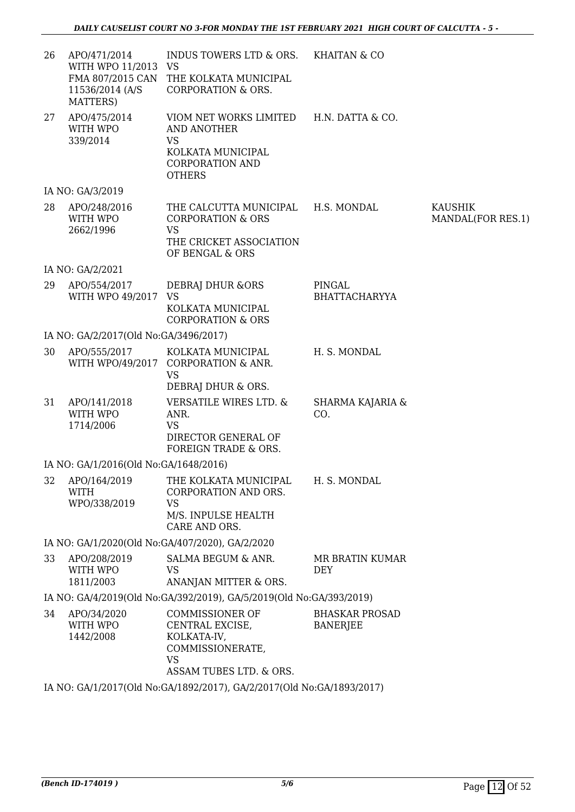| 26 | APO/471/2014<br>WITH WPO 11/2013 VS<br>11536/2014 (A/S<br>MATTERS) | INDUS TOWERS LTD & ORS. KHAITAN & CO<br>FMA 807/2015 CAN THE KOLKATA MUNICIPAL<br><b>CORPORATION &amp; ORS.</b>                     |                                          |                              |
|----|--------------------------------------------------------------------|-------------------------------------------------------------------------------------------------------------------------------------|------------------------------------------|------------------------------|
| 27 | APO/475/2014<br>WITH WPO<br>339/2014                               | VIOM NET WORKS LIMITED H.N. DATTA & CO.<br><b>AND ANOTHER</b><br>VS<br>KOLKATA MUNICIPAL<br><b>CORPORATION AND</b><br><b>OTHERS</b> |                                          |                              |
|    | IA NO: GA/3/2019                                                   |                                                                                                                                     |                                          |                              |
| 28 | APO/248/2016<br>WITH WPO<br>2662/1996                              | THE CALCUTTA MUNICIPAL H.S. MONDAL<br><b>CORPORATION &amp; ORS</b><br><b>VS</b><br>THE CRICKET ASSOCIATION<br>OF BENGAL & ORS       |                                          | KAUSHIK<br>MANDAL(FOR RES.1) |
|    | IA NO: GA/2/2021                                                   |                                                                                                                                     |                                          |                              |
| 29 | APO/554/2017<br>WITH WPO 49/2017                                   | DEBRAJ DHUR & ORS<br><b>VS</b><br>KOLKATA MUNICIPAL<br><b>CORPORATION &amp; ORS</b>                                                 | PINGAL<br><b>BHATTACHARYYA</b>           |                              |
|    | IA NO: GA/2/2017(Old No:GA/3496/2017)                              |                                                                                                                                     |                                          |                              |
| 30 | APO/555/2017                                                       | KOLKATA MUNICIPAL<br>WITH WPO/49/2017 CORPORATION & ANR.<br><b>VS</b><br>DEBRAJ DHUR & ORS.                                         | H. S. MONDAL                             |                              |
| 31 | APO/141/2018<br>WITH WPO<br>1714/2006                              | <b>VERSATILE WIRES LTD. &amp;</b><br>ANR.<br><b>VS</b><br>DIRECTOR GENERAL OF<br>FOREIGN TRADE & ORS.                               | SHARMA KAJARIA &<br>CO.                  |                              |
|    | IA NO: GA/1/2016(Old No:GA/1648/2016)                              |                                                                                                                                     |                                          |                              |
|    | <b>WITH</b><br>WPO/338/2019                                        | 32 APO/164/2019 THE KOLKATA MUNICIPAL H. S. MONDAL<br>CORPORATION AND ORS.<br><b>VS</b><br>M/S. INPULSE HEALTH<br>CARE AND ORS.     |                                          |                              |
|    |                                                                    | IA NO: GA/1/2020(Old No:GA/407/2020), GA/2/2020                                                                                     |                                          |                              |
| 33 | APO/208/2019<br>WITH WPO<br>1811/2003                              | SALMA BEGUM & ANR.<br><b>VS</b><br>ANANJAN MITTER & ORS.                                                                            | MR BRATIN KUMAR<br><b>DEY</b>            |                              |
|    |                                                                    | IA NO: GA/4/2019(Old No:GA/392/2019), GA/5/2019(Old No:GA/393/2019)                                                                 |                                          |                              |
| 34 | APO/34/2020<br>WITH WPO<br>1442/2008                               | <b>COMMISSIONER OF</b><br>CENTRAL EXCISE,<br>KOLKATA-IV,<br>COMMISSIONERATE,<br><b>VS</b><br>ASSAM TUBES LTD. & ORS.                | <b>BHASKAR PROSAD</b><br><b>BANERJEE</b> |                              |
|    |                                                                    | IA NO: GA/1/2017(Old No:GA/1892/2017), GA/2/2017(Old No:GA/1893/2017)                                                               |                                          |                              |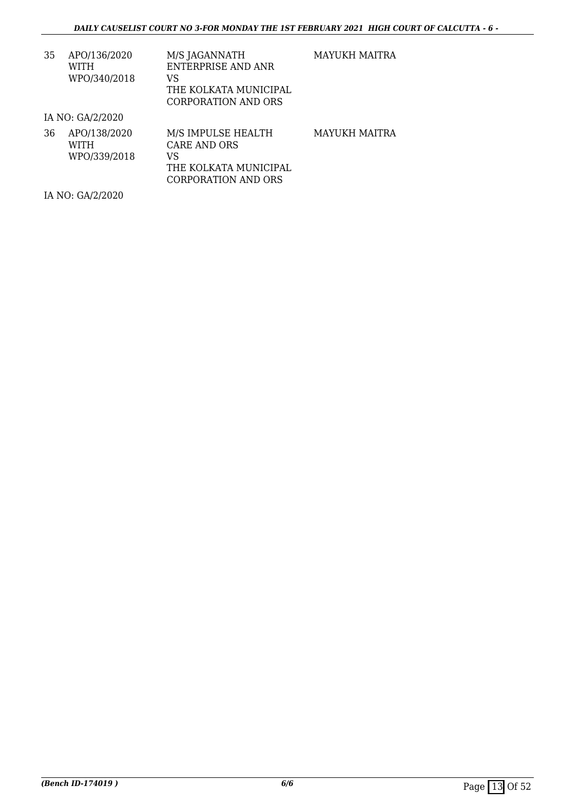| 35 | APO/136/2020 | M/S JAGANNATH         |
|----|--------------|-----------------------|
|    | WITH         | ENTERPRISE AND ANR    |
|    | WPO/340/2018 | VS                    |
|    |              | THE KOLKATA MUNICIPAL |
|    |              | CORPORATION AND ORS   |

MAYUKH MAITRA

IA NO: GA/2/2020

| 36 | APO/138/2020<br>WITH<br>WPO/339/2018 | M/S IMPULSE HEALTH<br>CARE AND ORS<br>VS<br>THE KOLKATA MUNICIPAL | MAYUKH MAITRA |
|----|--------------------------------------|-------------------------------------------------------------------|---------------|
|    |                                      | CORPORATION AND ORS                                               |               |

IA NO: GA/2/2020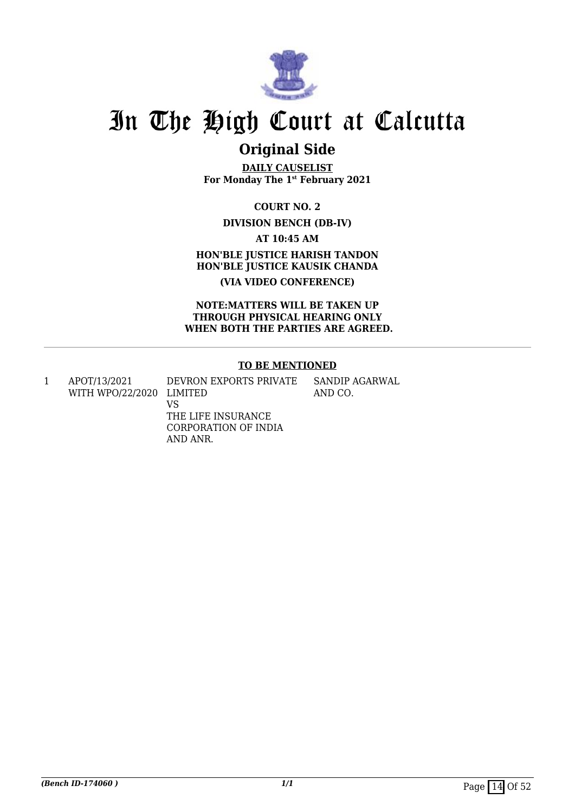

## **Original Side**

**DAILY CAUSELIST For Monday The 1st February 2021**

**COURT NO. 2**

#### **DIVISION BENCH (DB-IV)**

**AT 10:45 AM**

**HON'BLE JUSTICE HARISH TANDON HON'BLE JUSTICE KAUSIK CHANDA (VIA VIDEO CONFERENCE)**

**NOTE:MATTERS WILL BE TAKEN UP THROUGH PHYSICAL HEARING ONLY WHEN BOTH THE PARTIES ARE AGREED.**

#### **TO BE MENTIONED**

1 APOT/13/2021 WITH WPO/22/2020 LIMITED DEVRON EXPORTS PRIVATE

VS THE LIFE INSURANCE CORPORATION OF INDIA AND ANR.

SANDIP AGARWAL AND CO.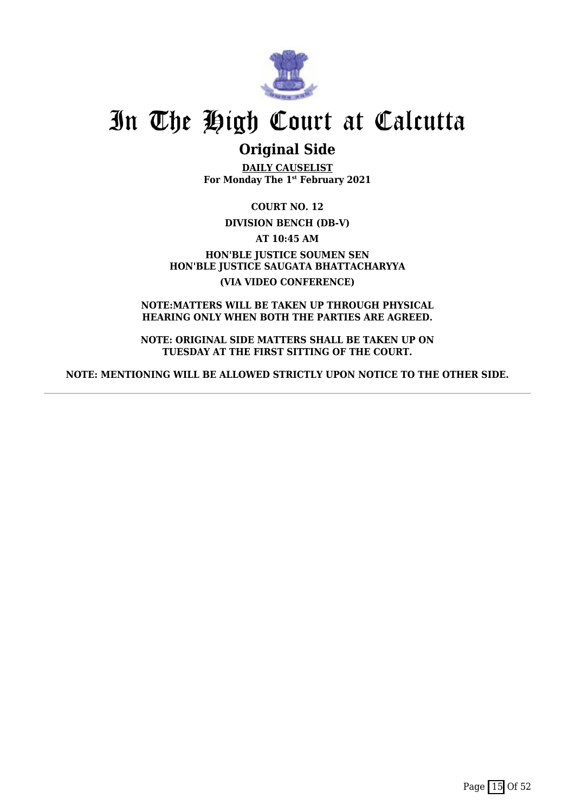

### **Original Side**

**DAILY CAUSELIST For Monday The 1st February 2021**

**COURT NO. 12**

**DIVISION BENCH (DB-V)**

**AT 10:45 AM**

**HON'BLE JUSTICE SOUMEN SEN HON'BLE JUSTICE SAUGATA BHATTACHARYYA (VIA VIDEO CONFERENCE)**

**NOTE:MATTERS WILL BE TAKEN UP THROUGH PHYSICAL HEARING ONLY WHEN BOTH THE PARTIES ARE AGREED.**

**NOTE: ORIGINAL SIDE MATTERS SHALL BE TAKEN UP ON TUESDAY AT THE FIRST SITTING OF THE COURT.**

**NOTE: MENTIONING WILL BE ALLOWED STRICTLY UPON NOTICE TO THE OTHER SIDE.**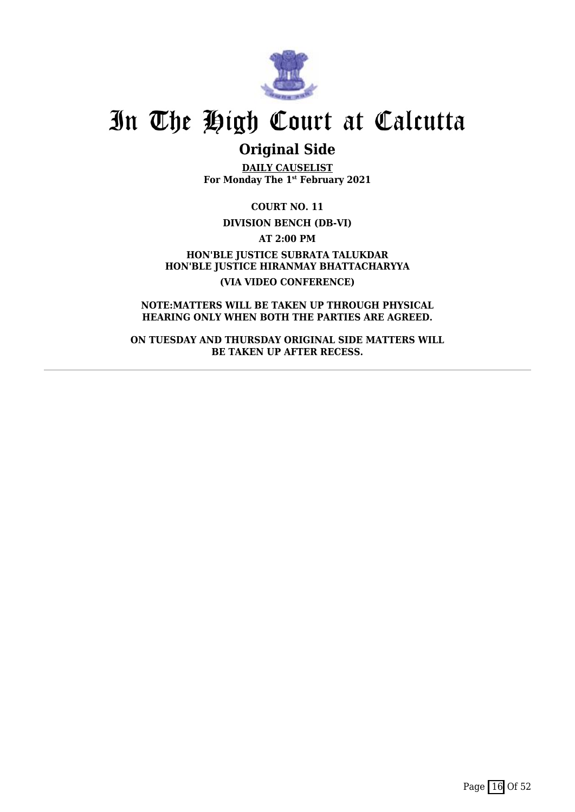

### **Original Side**

**DAILY CAUSELIST For Monday The 1st February 2021**

**COURT NO. 11**

**DIVISION BENCH (DB-VI)**

**AT 2:00 PM**

**HON'BLE JUSTICE SUBRATA TALUKDAR HON'BLE JUSTICE HIRANMAY BHATTACHARYYA (VIA VIDEO CONFERENCE)**

**NOTE:MATTERS WILL BE TAKEN UP THROUGH PHYSICAL HEARING ONLY WHEN BOTH THE PARTIES ARE AGREED.**

**ON TUESDAY AND THURSDAY ORIGINAL SIDE MATTERS WILL BE TAKEN UP AFTER RECESS.**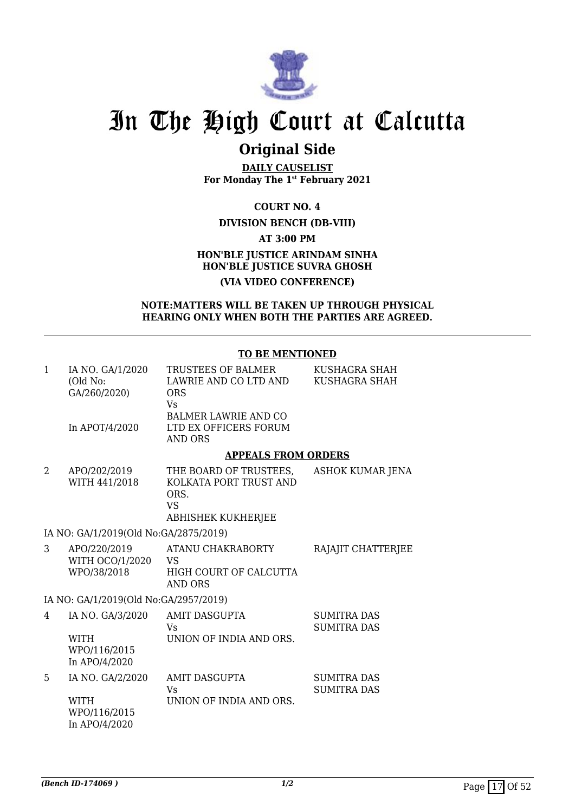

### **Original Side**

**DAILY CAUSELIST For Monday The 1st February 2021**

**COURT NO. 4**

#### **DIVISION BENCH (DB-VIII)**

**AT 3:00 PM**

#### **HON'BLE JUSTICE ARINDAM SINHA HON'BLE JUSTICE SUVRA GHOSH (VIA VIDEO CONFERENCE)**

#### **NOTE:MATTERS WILL BE TAKEN UP THROUGH PHYSICAL HEARING ONLY WHEN BOTH THE PARTIES ARE AGREED.**

#### **TO BE MENTIONED**

| 1 | IA NO. GA/1/2020<br>(Old No:<br>GA/260/2020)                     | TRUSTEES OF BALMER<br>LAWRIE AND CO LTD AND<br>ORS<br><b>Vs</b>                                    | KUSHAGRA SHAH<br>KUSHAGRA SHAH           |
|---|------------------------------------------------------------------|----------------------------------------------------------------------------------------------------|------------------------------------------|
|   | In APOT/4/2020                                                   | <b>BALMER LAWRIE AND CO</b><br>LTD EX OFFICERS FORUM<br><b>AND ORS</b>                             |                                          |
|   |                                                                  | <b>APPEALS FROM ORDERS</b>                                                                         |                                          |
| 2 | APO/202/2019<br>WITH 441/2018                                    | THE BOARD OF TRUSTEES,<br>KOLKATA PORT TRUST AND<br>ORS.<br><b>VS</b><br><b>ABHISHEK KUKHERJEE</b> | <b>ASHOK KUMAR JENA</b>                  |
|   | IA NO: GA/1/2019(Old No:GA/2875/2019)                            |                                                                                                    |                                          |
| 3 | APO/220/2019<br>WITH OCO/1/2020 VS<br>WPO/38/2018                | ATANU CHAKRABORTY<br>HIGH COURT OF CALCUTTA<br><b>AND ORS</b>                                      | RAJAJIT CHATTERJEE                       |
|   | IA NO: GA/1/2019(Old No:GA/2957/2019)                            |                                                                                                    |                                          |
| 4 | IA NO. GA/3/2020<br><b>WITH</b><br>WPO/116/2015<br>In APO/4/2020 | <b>AMIT DASGUPTA</b><br>Vs<br>UNION OF INDIA AND ORS.                                              | <b>SUMITRA DAS</b><br><b>SUMITRA DAS</b> |
| 5 | IA NO. GA/2/2020<br>WITH<br>WPO/116/2015<br>In APO/4/2020        | <b>AMIT DASGUPTA</b><br><b>Vs</b><br>UNION OF INDIA AND ORS.                                       | <b>SUMITRA DAS</b><br><b>SUMITRA DAS</b> |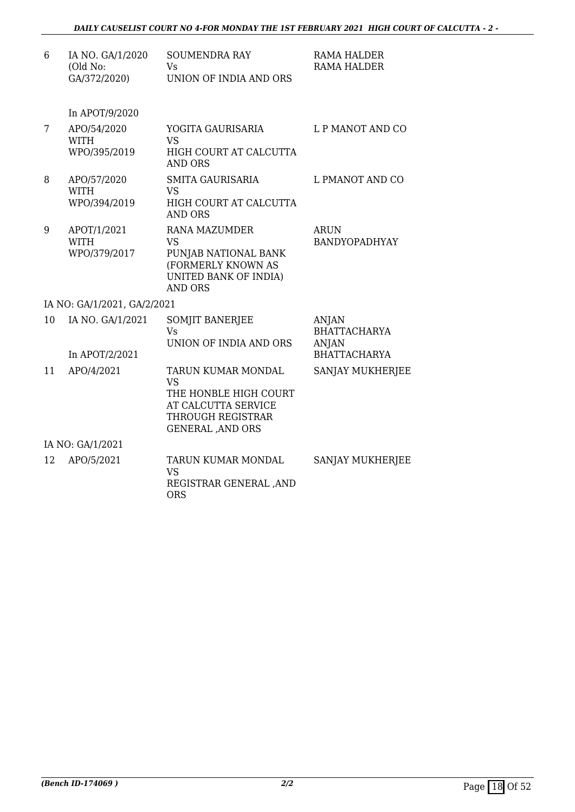| 6  | IA NO. GA/1/2020<br>(Old No:<br>GA/372/2020) | <b>SOUMENDRA RAY</b><br>Vs<br>UNION OF INDIA AND ORS                                                                              | <b>RAMA HALDER</b><br><b>RAMA HALDER</b>                                   |
|----|----------------------------------------------|-----------------------------------------------------------------------------------------------------------------------------------|----------------------------------------------------------------------------|
|    | In APOT/9/2020                               |                                                                                                                                   |                                                                            |
| 7  | APO/54/2020<br><b>WITH</b><br>WPO/395/2019   | YOGITA GAURISARIA<br><b>VS</b><br>HIGH COURT AT CALCUTTA<br><b>AND ORS</b>                                                        | L P MANOT AND CO                                                           |
| 8  | APO/57/2020<br><b>WITH</b><br>WPO/394/2019   | <b>SMITA GAURISARIA</b><br><b>VS</b><br>HIGH COURT AT CALCUTTA<br><b>AND ORS</b>                                                  | L PMANOT AND CO                                                            |
| 9  | APOT/1/2021<br><b>WITH</b><br>WPO/379/2017   | <b>RANA MAZUMDER</b><br><b>VS</b><br>PUNJAB NATIONAL BANK<br>(FORMERLY KNOWN AS<br><b>UNITED BANK OF INDIA)</b><br><b>AND ORS</b> | <b>ARUN</b><br><b>BANDYOPADHYAY</b>                                        |
|    | IA NO: GA/1/2021, GA/2/2021                  |                                                                                                                                   |                                                                            |
| 10 | IA NO. GA/1/2021<br>In APOT/2/2021           | <b>SOMJIT BANERJEE</b><br>Vs<br>UNION OF INDIA AND ORS                                                                            | <b>ANJAN</b><br><b>BHATTACHARYA</b><br><b>ANJAN</b><br><b>BHATTACHARYA</b> |
| 11 | APO/4/2021                                   | TARUN KUMAR MONDAL<br><b>VS</b><br>THE HONBLE HIGH COURT<br>AT CALCUTTA SERVICE<br>THROUGH REGISTRAR<br><b>GENERAL, AND ORS</b>   | SANJAY MUKHERJEE                                                           |
|    | IA NO: GA/1/2021                             |                                                                                                                                   |                                                                            |
| 12 | APO/5/2021                                   | <b>TARUN KUMAR MONDAL</b><br><b>VS</b>                                                                                            | <b>SANJAY MUKHERJEE</b>                                                    |

REGISTRAR GENERAL ,AND

**ORS**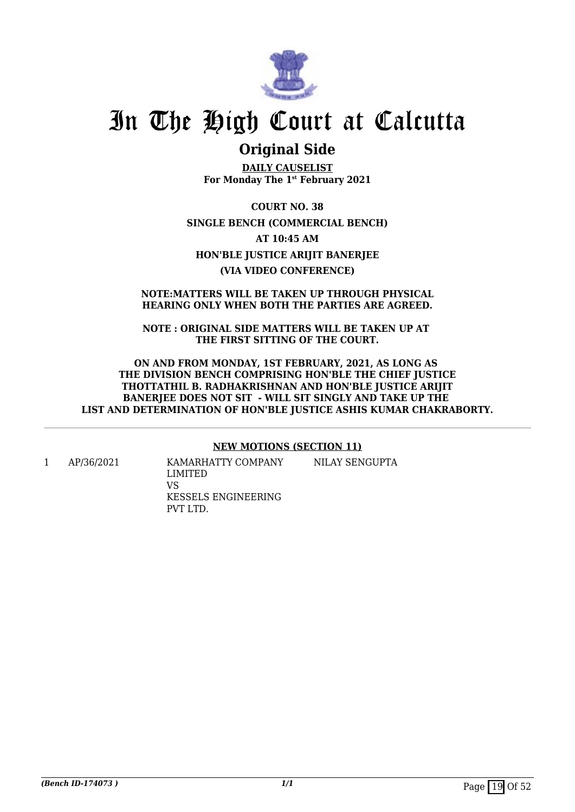

### **Original Side**

**DAILY CAUSELIST For Monday The 1st February 2021**

**COURT NO. 38 SINGLE BENCH (COMMERCIAL BENCH) AT 10:45 AM HON'BLE JUSTICE ARIJIT BANERJEE (VIA VIDEO CONFERENCE)**

#### **NOTE:MATTERS WILL BE TAKEN UP THROUGH PHYSICAL HEARING ONLY WHEN BOTH THE PARTIES ARE AGREED.**

**NOTE : ORIGINAL SIDE MATTERS WILL BE TAKEN UP AT THE FIRST SITTING OF THE COURT.**

**ON AND FROM MONDAY, 1ST FEBRUARY, 2021, AS LONG AS THE DIVISION BENCH COMPRISING HON'BLE THE CHIEF JUSTICE THOTTATHIL B. RADHAKRISHNAN AND HON'BLE JUSTICE ARIJIT BANERJEE DOES NOT SIT - WILL SIT SINGLY AND TAKE UP THE LIST AND DETERMINATION OF HON'BLE JUSTICE ASHIS KUMAR CHAKRABORTY.**

#### **NEW MOTIONS (SECTION 11)**

NILAY SENGUPTA

1 AP/36/2021 KAMARHATTY COMPANY LIMITED VS KESSELS ENGINEERING PVT LTD.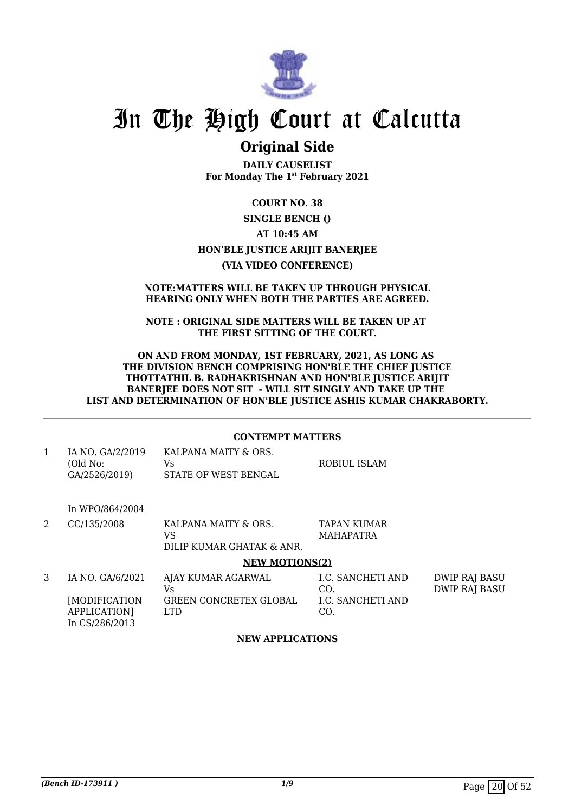

### **Original Side**

**DAILY CAUSELIST For Monday The 1st February 2021**

#### **COURT NO. 38**

#### **SINGLE BENCH ()**

#### **AT 10:45 AM**

#### **HON'BLE JUSTICE ARIJIT BANERJEE**

#### **(VIA VIDEO CONFERENCE)**

#### **NOTE:MATTERS WILL BE TAKEN UP THROUGH PHYSICAL HEARING ONLY WHEN BOTH THE PARTIES ARE AGREED.**

#### **NOTE : ORIGINAL SIDE MATTERS WILL BE TAKEN UP AT THE FIRST SITTING OF THE COURT.**

#### **ON AND FROM MONDAY, 1ST FEBRUARY, 2021, AS LONG AS THE DIVISION BENCH COMPRISING HON'BLE THE CHIEF JUSTICE THOTTATHIL B. RADHAKRISHNAN AND HON'BLE JUSTICE ARIJIT BANERJEE DOES NOT SIT - WILL SIT SINGLY AND TAKE UP THE LIST AND DETERMINATION OF HON'BLE JUSTICE ASHIS KUMAR CHAKRABORTY.**

#### **CONTEMPT MATTERS**

| IA NO. GA/2/2019 | KALPANA MAITY & ORS. |              |
|------------------|----------------------|--------------|
| (Old No:         | Vs.                  | ROBIUL ISLAM |
| GA/2526/2019)    | STATE OF WEST BENGAL |              |

In WPO/864/2004

2 CC/135/2008 KALPANA MAITY & ORS. VS DILIP KUMAR GHATAK & ANR. TAPAN KUMAR MAHAPATRA

#### **NEW MOTIONS(2)**

| IA NO. GA/6/2021                                       | AJAY KUMAR AGARWAL<br>Vs              | I.C. SANCHETI AND<br>CO. | DWIP RAJ BASU<br>DWIP RAJ BASU |
|--------------------------------------------------------|---------------------------------------|--------------------------|--------------------------------|
| [MODIFICATION]<br><b>APPLICATION</b><br>In CS/286/2013 | <b>GREEN CONCRETEX GLOBAL</b><br>LTD. | LC. SANCHETI AND<br>CO.  |                                |

#### **NEW APPLICATIONS**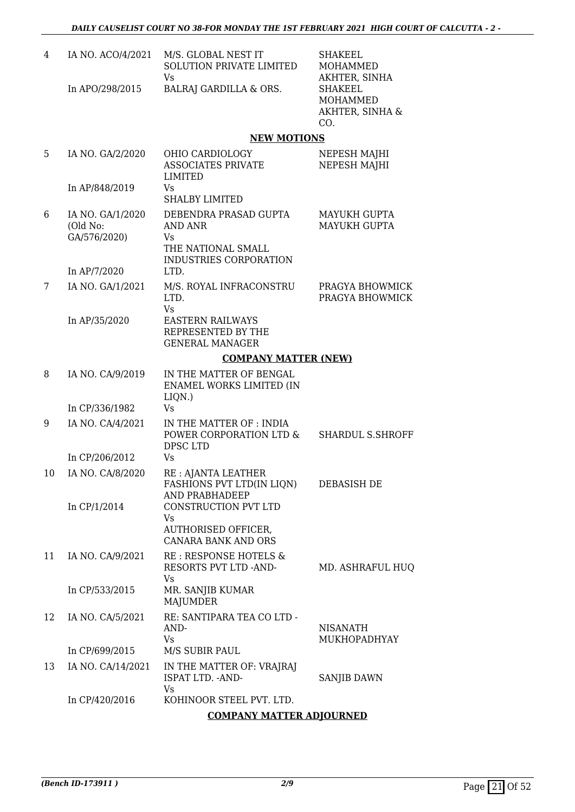| 4  | IA NO. ACO/4/2021                            | M/S. GLOBAL NEST IT<br>SOLUTION PRIVATE LIMITED<br>Vs                                   | <b>SHAKEEL</b><br>MOHAMMED<br>AKHTER, SINHA          |
|----|----------------------------------------------|-----------------------------------------------------------------------------------------|------------------------------------------------------|
|    | In APO/298/2015                              | BALRAJ GARDILLA & ORS.                                                                  | <b>SHAKEEL</b><br>MOHAMMED<br>AKHTER, SINHA &<br>CO. |
|    |                                              | <b>NEW MOTIONS</b>                                                                      |                                                      |
| 5  | IA NO. GA/2/2020                             | OHIO CARDIOLOGY<br><b>ASSOCIATES PRIVATE</b><br>LIMITED                                 | NEPESH MAJHI<br>NEPESH MAJHI                         |
|    | In AP/848/2019                               | Vs<br><b>SHALBY LIMITED</b>                                                             |                                                      |
| 6  | IA NO. GA/1/2020<br>(Old No:<br>GA/576/2020) | DEBENDRA PRASAD GUPTA<br>AND ANR<br>Vs.<br>THE NATIONAL SMALL<br>INDUSTRIES CORPORATION | MAYUKH GUPTA<br><b>MAYUKH GUPTA</b>                  |
|    | In AP/7/2020                                 | LTD.                                                                                    |                                                      |
| 7  | IA NO. GA/1/2021                             | M/S. ROYAL INFRACONSTRU<br>LTD.<br>Vs                                                   | PRAGYA BHOWMICK<br>PRAGYA BHOWMICK                   |
|    | In AP/35/2020                                | <b>EASTERN RAILWAYS</b><br>REPRESENTED BY THE<br><b>GENERAL MANAGER</b>                 |                                                      |
|    |                                              | <b>COMPANY MATTER (NEW)</b>                                                             |                                                      |
| 8  | IA NO. CA/9/2019                             | IN THE MATTER OF BENGAL<br>ENAMEL WORKS LIMITED (IN<br>LIQN.)                           |                                                      |
|    | In CP/336/1982                               | Vs.                                                                                     |                                                      |
| 9  | IA NO. CA/4/2021                             | IN THE MATTER OF : INDIA<br>POWER CORPORATION LTD &<br>DPSC LTD                         | SHARDUL S.SHROFF                                     |
|    | In CP/206/2012                               | Vs                                                                                      |                                                      |
| 10 | IA NO. CA/8/2020                             | RE : AJANTA LEATHER<br>FASHIONS PVT LTD(IN LIQN)<br><b>AND PRABHADEEP</b>               | <b>DEBASISH DE</b>                                   |
|    | In CP/1/2014                                 | CONSTRUCTION PVT LTD<br>Vs<br><b>AUTHORISED OFFICER,</b><br><b>CANARA BANK AND ORS</b>  |                                                      |
| 11 | IA NO. CA/9/2021                             | RE: RESPONSE HOTELS &<br>RESORTS PVT LTD -AND-<br>Vs                                    | MD. ASHRAFUL HUQ                                     |
|    | In CP/533/2015                               | MR. SANJIB KUMAR<br><b>MAJUMDER</b>                                                     |                                                      |
| 12 | IA NO. CA/5/2021                             | RE: SANTIPARA TEA CO LTD -<br>AND-<br>Vs.                                               | <b>NISANATH</b><br>MUKHOPADHYAY                      |
|    | In CP/699/2015                               | M/S SUBIR PAUL                                                                          |                                                      |
| 13 | IA NO. CA/14/2021                            | IN THE MATTER OF: VRAJRAJ<br>ISPAT LTD. - AND-<br>Vs                                    | SANJIB DAWN                                          |
|    | In CP/420/2016                               | KOHINOOR STEEL PVT. LTD.                                                                |                                                      |
|    |                                              | <b>COMPANY MATTER ADJOURNED</b>                                                         |                                                      |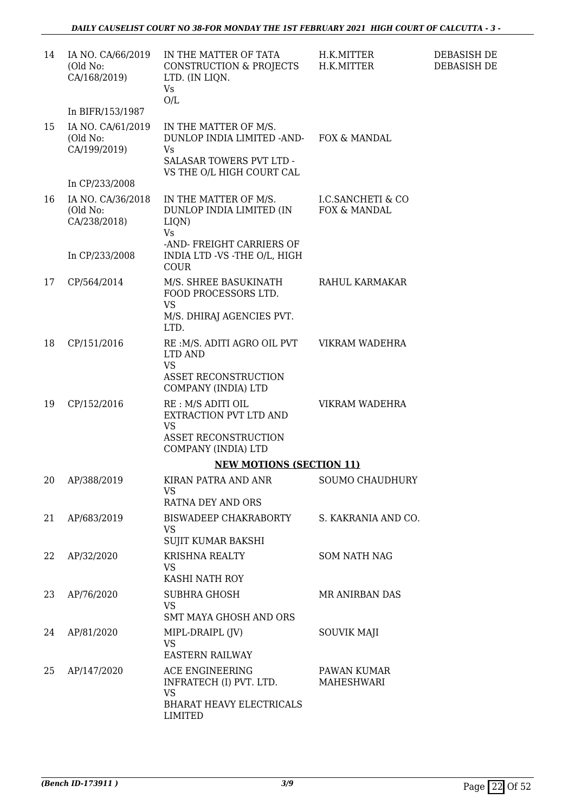| 14 | IA NO. CA/66/2019<br>(Old No:<br>CA/168/2019) | IN THE MATTER OF TATA<br>CONSTRUCTION & PROJECTS<br>LTD. (IN LIQN.<br><b>Vs</b><br>O/L                                                 | H.K.MITTER<br>H.K.MITTER          | DEBASISH DE<br>DEBASISH DE |
|----|-----------------------------------------------|----------------------------------------------------------------------------------------------------------------------------------------|-----------------------------------|----------------------------|
|    | In BIFR/153/1987                              |                                                                                                                                        |                                   |                            |
| 15 | IA NO. CA/61/2019<br>(Old No:<br>CA/199/2019) | IN THE MATTER OF M/S.<br>DUNLOP INDIA LIMITED -AND- FOX & MANDAL<br>Vs<br><b>SALASAR TOWERS PVT LTD -</b><br>VS THE O/L HIGH COURT CAL |                                   |                            |
|    | In CP/233/2008                                |                                                                                                                                        |                                   |                            |
| 16 | IA NO. CA/36/2018<br>(Old No:<br>CA/238/2018) | IN THE MATTER OF M/S.<br>DUNLOP INDIA LIMITED (IN<br>LIQN)<br><b>Vs</b>                                                                | I.C.SANCHETI & CO<br>FOX & MANDAL |                            |
|    | In CP/233/2008                                | -AND- FREIGHT CARRIERS OF<br>INDIA LTD -VS -THE O/L, HIGH<br><b>COUR</b>                                                               |                                   |                            |
| 17 | CP/564/2014                                   | M/S. SHREE BASUKINATH<br>FOOD PROCESSORS LTD.<br><b>VS</b><br>M/S. DHIRAJ AGENCIES PVT.<br>LTD.                                        | RAHUL KARMAKAR                    |                            |
| 18 | CP/151/2016                                   | RE :M/S. ADITI AGRO OIL PVT<br>LTD AND<br><b>VS</b><br>ASSET RECONSTRUCTION                                                            | VIKRAM WADEHRA                    |                            |
|    |                                               | COMPANY (INDIA) LTD                                                                                                                    |                                   |                            |
| 19 | CP/152/2016                                   | RE : M/S ADITI OIL<br>EXTRACTION PVT LTD AND<br><b>VS</b>                                                                              | VIKRAM WADEHRA                    |                            |
|    |                                               | <b>ASSET RECONSTRUCTION</b><br>COMPANY (INDIA) LTD                                                                                     |                                   |                            |
|    |                                               | <b>NEW MOTIONS (SECTION 11)</b>                                                                                                        |                                   |                            |
|    | 20 AP/388/2019                                | KIRAN PATRA AND ANR<br>VS.<br>RATNA DEY AND ORS                                                                                        | SOUMO CHAUDHURY                   |                            |
| 21 | AP/683/2019                                   | BISWADEEP CHAKRABORTY<br><b>VS</b><br>SUJIT KUMAR BAKSHI                                                                               | S. KAKRANIA AND CO.               |                            |
| 22 | AP/32/2020                                    | KRISHNA REALTY                                                                                                                         | <b>SOM NATH NAG</b>               |                            |
|    |                                               | <b>VS</b><br>KASHI NATH ROY                                                                                                            |                                   |                            |
| 23 | AP/76/2020                                    | SUBHRA GHOSH<br><b>VS</b><br>SMT MAYA GHOSH AND ORS                                                                                    | MR ANIRBAN DAS                    |                            |
| 24 | AP/81/2020                                    | MIPL-DRAIPL (JV)<br><b>VS</b>                                                                                                          | <b>SOUVIK MAJI</b>                |                            |
|    |                                               | <b>EASTERN RAILWAY</b>                                                                                                                 |                                   |                            |
| 25 | AP/147/2020                                   | ACE ENGINEERING<br>INFRATECH (I) PVT. LTD.<br>VS                                                                                       | PAWAN KUMAR<br>MAHESHWARI         |                            |
|    |                                               | <b>BHARAT HEAVY ELECTRICALS</b><br>LIMITED                                                                                             |                                   |                            |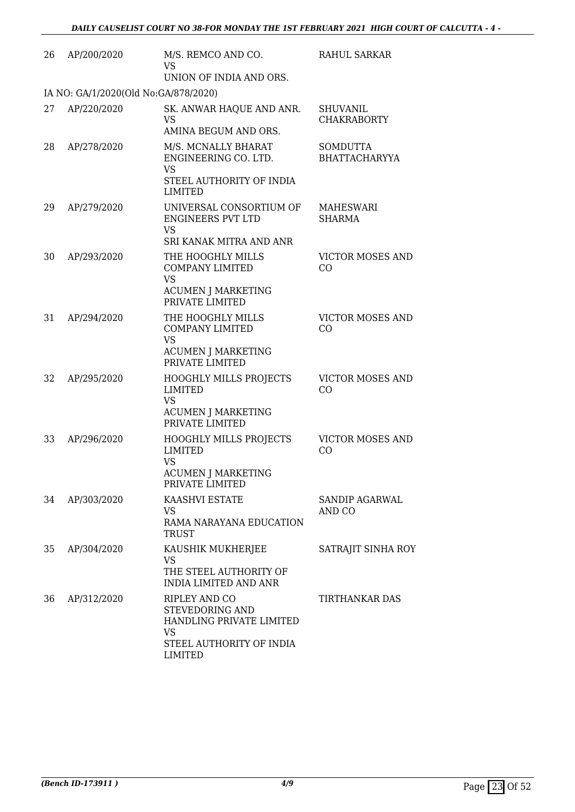| 26 | AP/200/2020                          | M/S. REMCO AND CO.<br><b>VS</b><br>UNION OF INDIA AND ORS.                                                              | RAHUL SARKAR                            |
|----|--------------------------------------|-------------------------------------------------------------------------------------------------------------------------|-----------------------------------------|
|    | IA NO: GA/1/2020(Old No:GA/878/2020) |                                                                                                                         |                                         |
| 27 | AP/220/2020                          | SK. ANWAR HAQUE AND ANR.<br><b>VS</b><br>AMINA BEGUM AND ORS.                                                           | <b>SHUVANIL</b><br><b>CHAKRABORTY</b>   |
| 28 | AP/278/2020                          | M/S. MCNALLY BHARAT<br>ENGINEERING CO. LTD.<br><b>VS</b><br>STEEL AUTHORITY OF INDIA<br>LIMITED                         | <b>SOMDUTTA</b><br><b>BHATTACHARYYA</b> |
| 29 | AP/279/2020                          | UNIVERSAL CONSORTIUM OF<br><b>ENGINEERS PVT LTD</b><br><b>VS</b><br>SRI KANAK MITRA AND ANR                             | MAHESWARI<br><b>SHARMA</b>              |
| 30 | AP/293/2020                          | THE HOOGHLY MILLS<br><b>COMPANY LIMITED</b><br><b>VS</b><br><b>ACUMEN J MARKETING</b><br>PRIVATE LIMITED                | <b>VICTOR MOSES AND</b><br>CO           |
| 31 | AP/294/2020                          | THE HOOGHLY MILLS<br><b>COMPANY LIMITED</b><br><b>VS</b><br><b>ACUMEN J MARKETING</b><br>PRIVATE LIMITED                | <b>VICTOR MOSES AND</b><br>CO           |
| 32 | AP/295/2020                          | <b>HOOGHLY MILLS PROJECTS</b><br><b>LIMITED</b><br><b>VS</b><br><b>ACUMEN J MARKETING</b><br>PRIVATE LIMITED            | <b>VICTOR MOSES AND</b><br>CO           |
| 33 | AP/296/2020                          | <b>HOOGHLY MILLS PROJECTS</b><br><b>LIMITED</b><br><b>VS</b><br><b>ACUMEN J MARKETING</b><br>PRIVATE LIMITED            | <b>VICTOR MOSES AND</b><br>CO           |
| 34 | AP/303/2020                          | KAASHVI ESTATE<br>VS.<br>RAMA NARAYANA EDUCATION<br><b>TRUST</b>                                                        | SANDIP AGARWAL<br>AND CO                |
| 35 | AP/304/2020                          | KAUSHIK MUKHERJEE<br>VS<br>THE STEEL AUTHORITY OF<br><b>INDIA LIMITED AND ANR</b>                                       | SATRAJIT SINHA ROY                      |
| 36 | AP/312/2020                          | RIPLEY AND CO<br>STEVEDORING AND<br>HANDLING PRIVATE LIMITED<br><b>VS</b><br>STEEL AUTHORITY OF INDIA<br><b>LIMITED</b> | TIRTHANKAR DAS                          |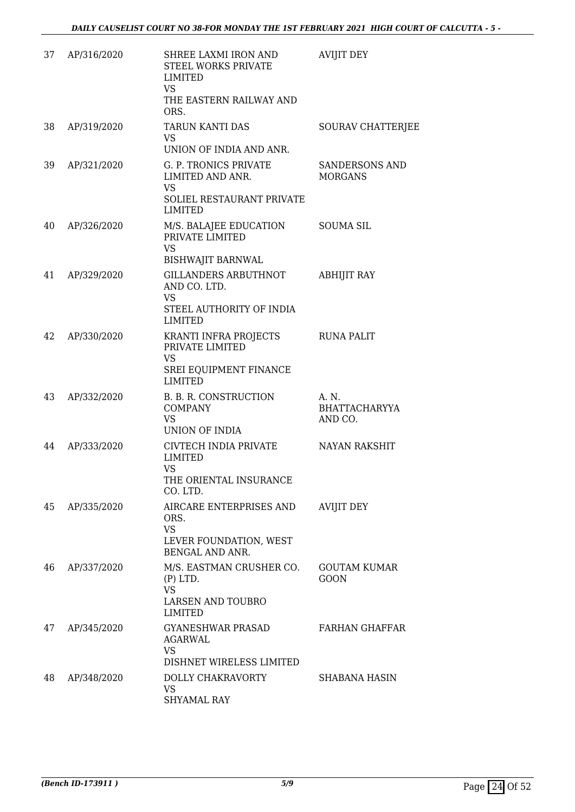| 37 | AP/316/2020 | SHREE LAXMI IRON AND<br>STEEL WORKS PRIVATE<br>LIMITED<br>VS                                    | <b>AVIJIT DEY</b>                        |
|----|-------------|-------------------------------------------------------------------------------------------------|------------------------------------------|
|    |             | THE EASTERN RAILWAY AND<br>ORS.                                                                 |                                          |
| 38 | AP/319/2020 | TARUN KANTI DAS<br>VS.<br>UNION OF INDIA AND ANR.                                               | SOURAV CHATTERJEE                        |
| 39 | AP/321/2020 | G. P. TRONICS PRIVATE<br>LIMITED AND ANR.<br>VS                                                 | SANDERSONS AND<br><b>MORGANS</b>         |
|    |             | SOLIEL RESTAURANT PRIVATE<br>LIMITED                                                            |                                          |
| 40 | AP/326/2020 | M/S. BALAJEE EDUCATION<br>PRIVATE LIMITED<br><b>VS</b><br><b>BISHWAJIT BARNWAL</b>              | <b>SOUMA SIL</b>                         |
| 41 | AP/329/2020 | <b>GILLANDERS ARBUTHNOT</b><br>AND CO. LTD.<br><b>VS</b><br>STEEL AUTHORITY OF INDIA<br>LIMITED | <b>ABHIJIT RAY</b>                       |
| 42 | AP/330/2020 | KRANTI INFRA PROJECTS<br>PRIVATE LIMITED<br><b>VS</b><br>SREI EQUIPMENT FINANCE<br>LIMITED      | RUNA PALIT                               |
| 43 | AP/332/2020 | B. B. R. CONSTRUCTION<br><b>COMPANY</b><br><b>VS</b><br>UNION OF INDIA                          | A. N.<br><b>BHATTACHARYYA</b><br>AND CO. |
| 44 | AP/333/2020 | CIVTECH INDIA PRIVATE<br>LIMITED<br><b>VS</b><br>THE ORIENTAL INSURANCE<br>CO. LTD.             | <b>NAYAN RAKSHIT</b>                     |
| 45 | AP/335/2020 | AIRCARE ENTERPRISES AND<br>ORS.<br><b>VS</b><br>LEVER FOUNDATION, WEST<br>BENGAL AND ANR.       | <b>AVIJIT DEY</b>                        |
| 46 | AP/337/2020 | M/S. EASTMAN CRUSHER CO.<br>$(P)$ LTD.<br><b>VS</b><br>LARSEN AND TOUBRO<br>LIMITED             | <b>GOUTAM KUMAR</b><br>GOON              |
| 47 | AP/345/2020 | GYANESHWAR PRASAD<br><b>AGARWAL</b><br><b>VS</b><br>DISHNET WIRELESS LIMITED                    | FARHAN GHAFFAR                           |
| 48 | AP/348/2020 | DOLLY CHAKRAVORTY<br><b>VS</b><br>SHYAMAL RAY                                                   | SHABANA HASIN                            |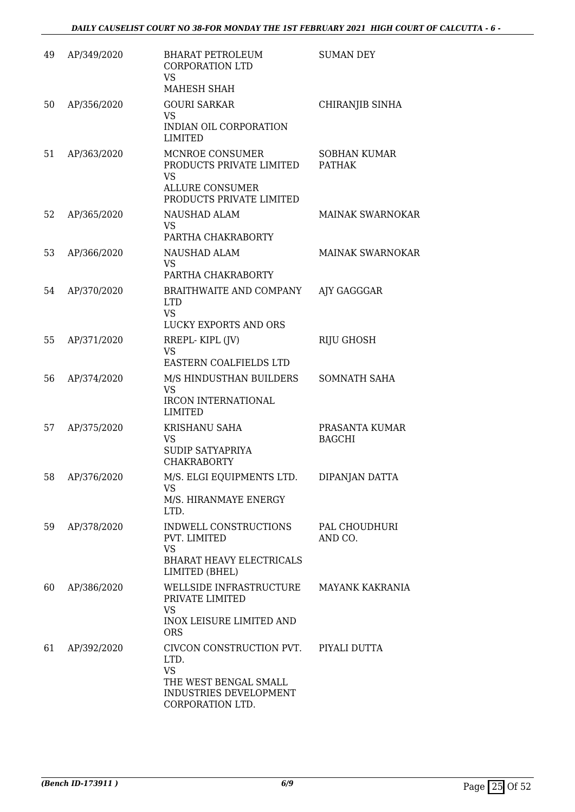| 49 | AP/349/2020 | <b>BHARAT PETROLEUM</b><br><b>CORPORATION LTD</b><br>VS                                                              | <b>SUMAN DEY</b>                     |
|----|-------------|----------------------------------------------------------------------------------------------------------------------|--------------------------------------|
|    |             | MAHESH SHAH                                                                                                          |                                      |
| 50 | AP/356/2020 | <b>GOURI SARKAR</b><br><b>VS</b>                                                                                     | CHIRANJIB SINHA                      |
|    |             | INDIAN OIL CORPORATION<br><b>LIMITED</b>                                                                             |                                      |
| 51 | AP/363/2020 | MCNROE CONSUMER<br>PRODUCTS PRIVATE LIMITED<br><b>VS</b><br><b>ALLURE CONSUMER</b><br>PRODUCTS PRIVATE LIMITED       | <b>SOBHAN KUMAR</b><br><b>PATHAK</b> |
| 52 | AP/365/2020 | NAUSHAD ALAM<br>VS.<br>PARTHA CHAKRABORTY                                                                            | <b>MAINAK SWARNOKAR</b>              |
| 53 | AP/366/2020 | NAUSHAD ALAM<br>VS<br>PARTHA CHAKRABORTY                                                                             | MAINAK SWARNOKAR                     |
| 54 | AP/370/2020 | BRAITHWAITE AND COMPANY<br><b>LTD</b><br><b>VS</b><br>LUCKY EXPORTS AND ORS                                          | AJY GAGGGAR                          |
| 55 | AP/371/2020 | RREPL-KIPL (JV)<br><b>VS</b>                                                                                         | RIJU GHOSH                           |
|    |             | EASTERN COALFIELDS LTD                                                                                               |                                      |
| 56 | AP/374/2020 | M/S HINDUSTHAN BUILDERS<br><b>VS</b><br><b>IRCON INTERNATIONAL</b><br><b>LIMITED</b>                                 | SOMNATH SAHA                         |
| 57 | AP/375/2020 | <b>KRISHANU SAHA</b><br>VS<br>SUDIP SATYAPRIYA<br><b>CHAKRABORTY</b>                                                 | PRASANTA KUMAR<br><b>BAGCHI</b>      |
| 58 | AP/376/2020 | M/S. ELGI EQUIPMENTS LTD.<br>VS<br>M/S. HIRANMAYE ENERGY<br>LTD.                                                     | DIPANJAN DATTA                       |
| 59 | AP/378/2020 | INDWELL CONSTRUCTIONS<br>PVT. LIMITED<br><b>VS</b><br><b>BHARAT HEAVY ELECTRICALS</b><br>LIMITED (BHEL)              | PAL CHOUDHURI<br>AND CO.             |
| 60 | AP/386/2020 | WELLSIDE INFRASTRUCTURE<br>PRIVATE LIMITED<br>VS<br><b>INOX LEISURE LIMITED AND</b><br><b>ORS</b>                    | <b>MAYANK KAKRANIA</b>               |
| 61 | AP/392/2020 | CIVCON CONSTRUCTION PVT.<br>LTD.<br><b>VS</b><br>THE WEST BENGAL SMALL<br>INDUSTRIES DEVELOPMENT<br>CORPORATION LTD. | PIYALI DUTTA                         |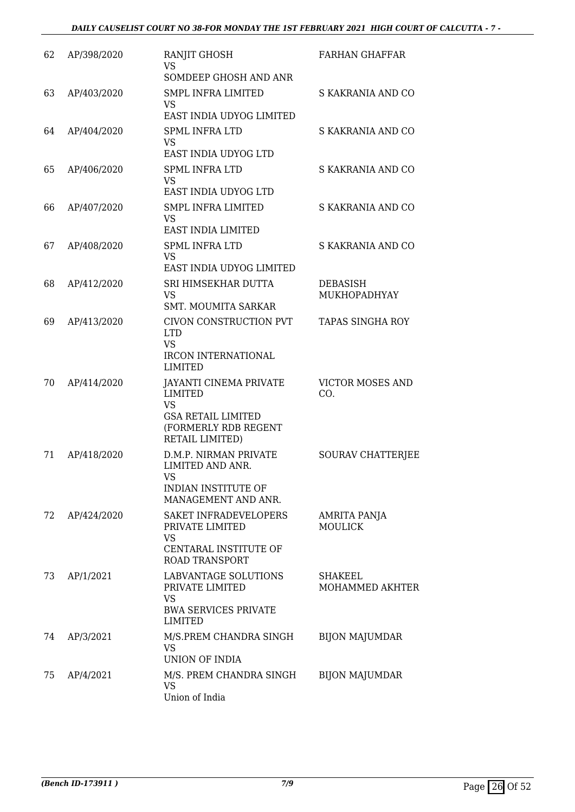| 62 | AP/398/2020 | RANJIT GHOSH<br>VS<br>SOMDEEP GHOSH AND ANR                                                                            | <b>FARHAN GHAFFAR</b>           |
|----|-------------|------------------------------------------------------------------------------------------------------------------------|---------------------------------|
| 63 | AP/403/2020 | <b>SMPL INFRA LIMITED</b><br><b>VS</b><br>EAST INDIA UDYOG LIMITED                                                     | S KAKRANIA AND CO               |
| 64 | AP/404/2020 | <b>SPML INFRA LTD</b><br><b>VS</b><br>EAST INDIA UDYOG LTD                                                             | S KAKRANIA AND CO               |
| 65 | AP/406/2020 | <b>SPML INFRA LTD</b><br><b>VS</b><br>EAST INDIA UDYOG LTD                                                             | S KAKRANIA AND CO               |
| 66 | AP/407/2020 | <b>SMPL INFRA LIMITED</b><br><b>VS</b><br>EAST INDIA LIMITED                                                           | S KAKRANIA AND CO               |
| 67 | AP/408/2020 | <b>SPML INFRA LTD</b><br><b>VS</b><br>EAST INDIA UDYOG LIMITED                                                         | S KAKRANIA AND CO               |
| 68 | AP/412/2020 | SRI HIMSEKHAR DUTTA<br><b>VS</b><br><b>SMT. MOUMITA SARKAR</b>                                                         | <b>DEBASISH</b><br>MUKHOPADHYAY |
| 69 | AP/413/2020 | CIVON CONSTRUCTION PVT<br><b>LTD</b><br><b>VS</b>                                                                      | <b>TAPAS SINGHA ROY</b>         |
|    |             | <b>IRCON INTERNATIONAL</b><br>LIMITED                                                                                  |                                 |
| 70 | AP/414/2020 | JAYANTI CINEMA PRIVATE<br><b>LIMITED</b><br>VS<br><b>GSA RETAIL LIMITED</b><br>(FORMERLY RDB REGENT<br>RETAIL LIMITED) | <b>VICTOR MOSES AND</b><br>CO.  |
| 71 | AP/418/2020 | D.M.P. NIRMAN PRIVATE<br>LIMITED AND ANR.<br>VS <b>Sample</b><br>INDIAN INSTITUTE OF<br>MANAGEMENT AND ANR.            | SOURAV CHATTERJEE               |
| 72 | AP/424/2020 | SAKET INFRADEVELOPERS<br>PRIVATE LIMITED<br>VS<br>CENTARAL INSTITUTE OF<br><b>ROAD TRANSPORT</b>                       | AMRITA PANJA<br><b>MOULICK</b>  |
| 73 | AP/1/2021   | LABVANTAGE SOLUTIONS<br>PRIVATE LIMITED<br><b>VS</b><br><b>BWA SERVICES PRIVATE</b><br>LIMITED                         | SHAKEEL<br>MOHAMMED AKHTER      |
| 74 | AP/3/2021   | M/S.PREM CHANDRA SINGH<br><b>VS</b><br><b>UNION OF INDIA</b>                                                           | <b>BIJON MAJUMDAR</b>           |
| 75 | AP/4/2021   | M/S. PREM CHANDRA SINGH<br>VS<br>Union of India                                                                        | <b>BIJON MAJUMDAR</b>           |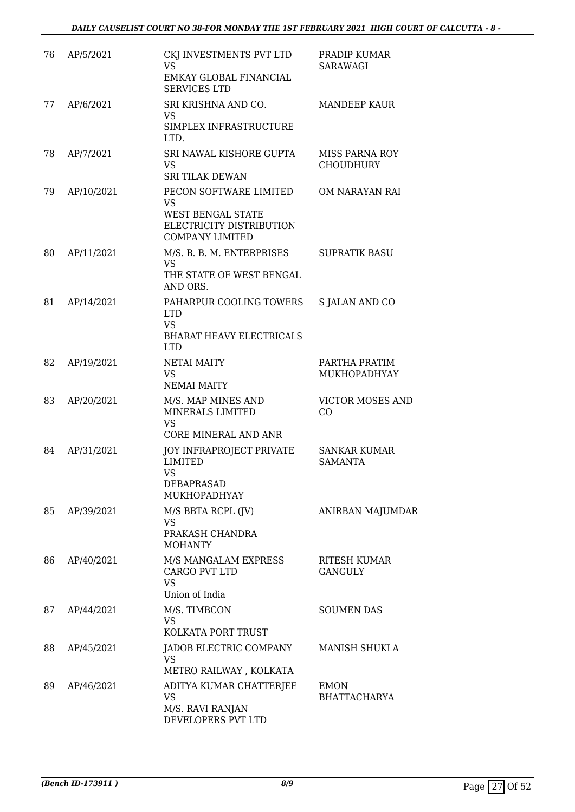| 76 | AP/5/2021  | CKJ INVESTMENTS PVT LTD<br><b>VS</b><br>EMKAY GLOBAL FINANCIAL<br><b>SERVICES LTD</b>                          | PRADIP KUMAR<br>SARAWAGI                  |
|----|------------|----------------------------------------------------------------------------------------------------------------|-------------------------------------------|
| 77 | AP/6/2021  | SRI KRISHNA AND CO.<br>VS<br>SIMPLEX INFRASTRUCTURE<br>LTD.                                                    | <b>MANDEEP KAUR</b>                       |
| 78 | AP/7/2021  | SRI NAWAL KISHORE GUPTA<br><b>VS</b><br><b>SRI TILAK DEWAN</b>                                                 | <b>MISS PARNA ROY</b><br><b>CHOUDHURY</b> |
| 79 | AP/10/2021 | PECON SOFTWARE LIMITED<br><b>VS</b><br>WEST BENGAL STATE<br>ELECTRICITY DISTRIBUTION<br><b>COMPANY LIMITED</b> | OM NARAYAN RAI                            |
| 80 | AP/11/2021 | M/S. B. B. M. ENTERPRISES<br><b>VS</b><br>THE STATE OF WEST BENGAL<br>AND ORS.                                 | <b>SUPRATIK BASU</b>                      |
| 81 | AP/14/2021 | PAHARPUR COOLING TOWERS<br><b>LTD</b><br><b>VS</b><br><b>BHARAT HEAVY ELECTRICALS</b><br><b>LTD</b>            | <b>S JALAN AND CO</b>                     |
| 82 | AP/19/2021 | <b>NETAI MAITY</b><br><b>VS</b><br><b>NEMAI MAITY</b>                                                          | PARTHA PRATIM<br>MUKHOPADHYAY             |
| 83 | AP/20/2021 | M/S. MAP MINES AND<br>MINERALS LIMITED<br><b>VS</b><br>CORE MINERAL AND ANR                                    | <b>VICTOR MOSES AND</b><br>CO             |
| 84 | AP/31/2021 | JOY INFRAPROJECT PRIVATE<br>LIMITED<br><b>VS</b><br>DEBAPRASAD<br>MUKHOPADHYAY                                 | <b>SANKAR KUMAR</b><br><b>SAMANTA</b>     |
| 85 | AP/39/2021 | M/S BBTA RCPL (JV)<br>VS<br>PRAKASH CHANDRA<br><b>MOHANTY</b>                                                  | ANIRBAN MAJUMDAR                          |
| 86 | AP/40/2021 | M/S MANGALAM EXPRESS<br>CARGO PVT LTD<br><b>VS</b>                                                             | RITESH KUMAR<br><b>GANGULY</b>            |
| 87 | AP/44/2021 | Union of India<br>M/S. TIMBCON<br><b>VS</b><br>KOLKATA PORT TRUST                                              | <b>SOUMEN DAS</b>                         |
| 88 | AP/45/2021 | JADOB ELECTRIC COMPANY<br>VS<br>METRO RAILWAY, KOLKATA                                                         | <b>MANISH SHUKLA</b>                      |
| 89 | AP/46/2021 | ADITYA KUMAR CHATTERJEE<br>VS<br>M/S. RAVI RANJAN<br>DEVELOPERS PVT LTD                                        | <b>EMON</b><br><b>BHATTACHARYA</b>        |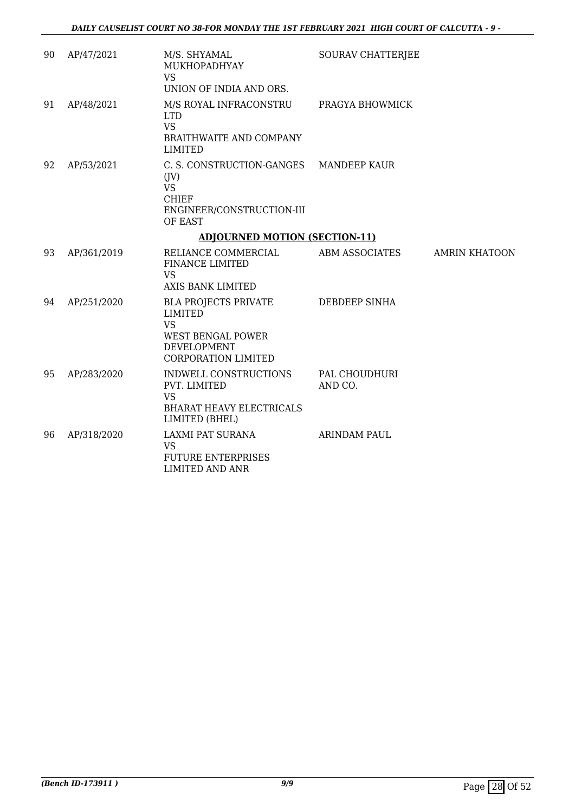| 90 | AP/47/2021  | M/S. SHYAMAL<br>MUKHOPADHYAY<br><b>VS</b><br>UNION OF INDIA AND ORS.                                                                | SOURAV CHATTERJEE        |                      |
|----|-------------|-------------------------------------------------------------------------------------------------------------------------------------|--------------------------|----------------------|
| 91 | AP/48/2021  | M/S ROYAL INFRACONSTRU<br><b>LTD</b><br><b>VS</b><br>BRAITHWAITE AND COMPANY<br><b>LIMITED</b>                                      | PRAGYA BHOWMICK          |                      |
| 92 | AP/53/2021  | C. S. CONSTRUCTION-GANGES MANDEEP KAUR<br>(JV)<br><b>VS</b><br><b>CHIEF</b><br>ENGINEER/CONSTRUCTION-III<br>OF EAST                 |                          |                      |
|    |             | <b>ADJOURNED MOTION (SECTION-11)</b>                                                                                                |                          |                      |
| 93 | AP/361/2019 | RELIANCE COMMERCIAL<br><b>FINANCE LIMITED</b><br><b>VS</b><br><b>AXIS BANK LIMITED</b>                                              | ABM ASSOCIATES           | <b>AMRIN KHATOON</b> |
| 94 | AP/251/2020 | <b>BLA PROJECTS PRIVATE</b><br><b>LIMITED</b><br><b>VS</b><br><b>WEST BENGAL POWER</b><br>DEVELOPMENT<br><b>CORPORATION LIMITED</b> | DEBDEEP SINHA            |                      |
| 95 | AP/283/2020 | INDWELL CONSTRUCTIONS<br>PVT. LIMITED<br><b>VS</b><br><b>BHARAT HEAVY ELECTRICALS</b><br>LIMITED (BHEL)                             | PAL CHOUDHURI<br>AND CO. |                      |
| 96 | AP/318/2020 | LAXMI PAT SURANA<br><b>VS</b><br><b>FUTURE ENTERPRISES</b><br><b>LIMITED AND ANR</b>                                                | <b>ARINDAM PAUL</b>      |                      |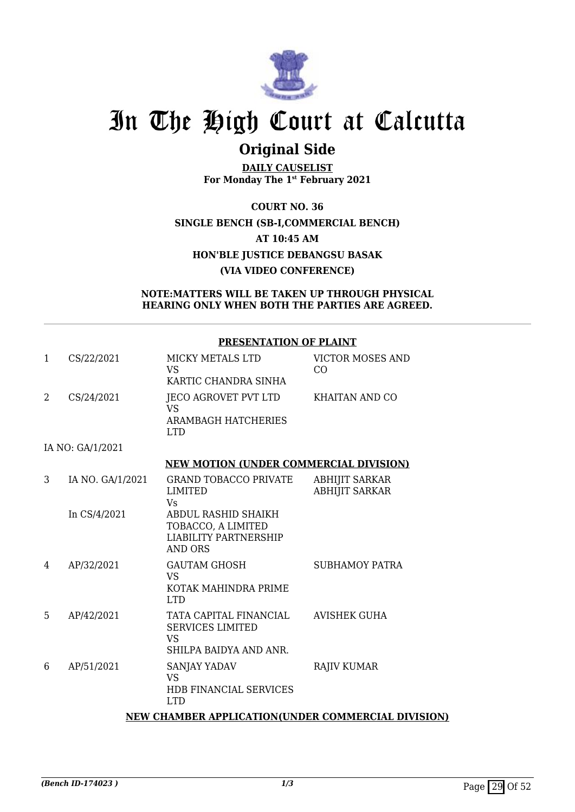

### **Original Side**

**DAILY CAUSELIST For Monday The 1st February 2021**

**COURT NO. 36 SINGLE BENCH (SB-I,COMMERCIAL BENCH) AT 10:45 AM HON'BLE JUSTICE DEBANGSU BASAK (VIA VIDEO CONFERENCE)**

#### **NOTE:MATTERS WILL BE TAKEN UP THROUGH PHYSICAL HEARING ONLY WHEN BOTH THE PARTIES ARE AGREED.**

#### **PRESENTATION OF PLAINT**

| $\mathbf{1}$ | CS/22/2021                                         | MICKY METALS LTD<br>VS.<br>KARTIC CHANDRA SINHA                                             | <b>VICTOR MOSES AND</b><br>CO.                 |  |  |
|--------------|----------------------------------------------------|---------------------------------------------------------------------------------------------|------------------------------------------------|--|--|
| 2            | CS/24/2021                                         | JECO AGROVET PVT LTD<br>VS.<br><b>ARAMBAGH HATCHERIES</b><br><b>LTD</b>                     | <b>KHAITAN AND CO</b>                          |  |  |
|              | IA NO: GA/1/2021                                   |                                                                                             |                                                |  |  |
|              |                                                    | <b>NEW MOTION (UNDER COMMERCIAL DIVISION)</b>                                               |                                                |  |  |
| 3            | IA NO. GA/1/2021                                   | GRAND TOBACCO PRIVATE<br>LIMITED<br><b>Vs</b>                                               | <b>ABHIJIT SARKAR</b><br><b>ABHIJIT SARKAR</b> |  |  |
|              | In CS/4/2021                                       | ABDUL RASHID SHAIKH<br>TOBACCO, A LIMITED<br><b>LIABILITY PARTNERSHIP</b><br><b>AND ORS</b> |                                                |  |  |
| 4            | AP/32/2021                                         | <b>GAUTAM GHOSH</b><br>VS.<br>KOTAK MAHINDRA PRIME<br><b>LTD</b>                            | <b>SUBHAMOY PATRA</b>                          |  |  |
| 5            | AP/42/2021                                         | TATA CAPITAL FINANCIAL<br><b>SERVICES LIMITED</b><br><b>VS</b><br>SHILPA BAIDYA AND ANR.    | <b>AVISHEK GUHA</b>                            |  |  |
| 6            | AP/51/2021                                         | SANJAY YADAV<br><b>VS</b><br><b>HDB FINANCIAL SERVICES</b><br><b>LTD</b>                    | <b>RAJIV KUMAR</b>                             |  |  |
|              | NEW CHAMBER APPLICATION(UNDER COMMERCIAL DIVISION) |                                                                                             |                                                |  |  |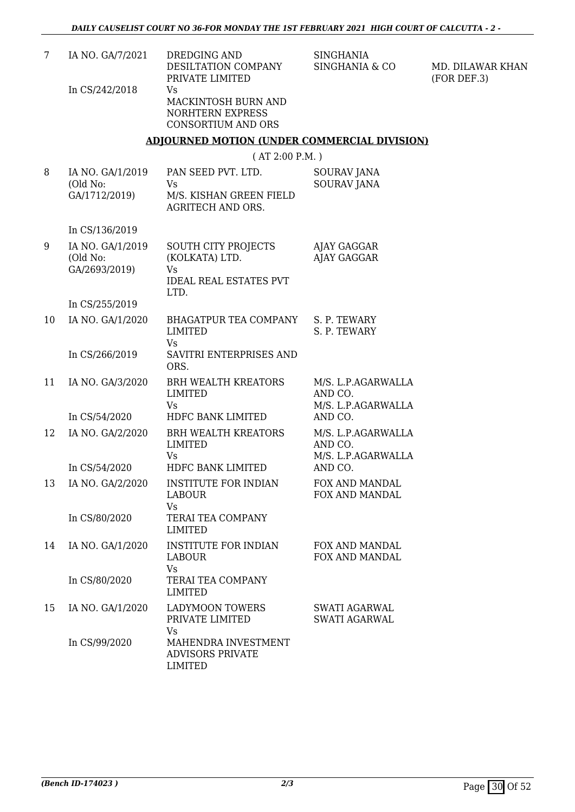| 7  | IA NO. GA/7/2021                              | DREDGING AND<br>DESILTATION COMPANY<br>PRIVATE LIMITED                                      | <b>SINGHANIA</b><br>SINGHANIA & CO                  | MD. DILAWAR KHAN<br>(FOR DEF.3) |
|----|-----------------------------------------------|---------------------------------------------------------------------------------------------|-----------------------------------------------------|---------------------------------|
|    | In CS/242/2018                                | Vs<br>MACKINTOSH BURN AND<br><b>NORHTERN EXPRESS</b><br><b>CONSORTIUM AND ORS</b>           |                                                     |                                 |
|    |                                               | <b>ADJOURNED MOTION (UNDER COMMERCIAL DIVISION)</b>                                         |                                                     |                                 |
|    |                                               | (AT 2:00 P.M.)                                                                              |                                                     |                                 |
| 8  | IA NO. GA/1/2019<br>(Old No:<br>GA/1712/2019) | PAN SEED PVT. LTD.<br>Vs<br>M/S. KISHAN GREEN FIELD<br><b>AGRITECH AND ORS.</b>             | SOURAV JANA<br><b>SOURAV JANA</b>                   |                                 |
|    | In CS/136/2019                                |                                                                                             |                                                     |                                 |
| 9  | IA NO. GA/1/2019<br>(Old No:<br>GA/2693/2019) | SOUTH CITY PROJECTS<br>(KOLKATA) LTD.<br><b>Vs</b><br><b>IDEAL REAL ESTATES PVT</b><br>LTD. | AJAY GAGGAR<br><b>AJAY GAGGAR</b>                   |                                 |
|    | In CS/255/2019                                |                                                                                             |                                                     |                                 |
| 10 | IA NO. GA/1/2020                              | BHAGATPUR TEA COMPANY<br><b>LIMITED</b><br><b>Vs</b>                                        | S. P. TEWARY<br>S. P. TEWARY                        |                                 |
|    | In CS/266/2019                                | SAVITRI ENTERPRISES AND<br>ORS.                                                             |                                                     |                                 |
| 11 | IA NO. GA/3/2020                              | <b>BRH WEALTH KREATORS</b><br><b>LIMITED</b><br><b>Vs</b>                                   | M/S. L.P.AGARWALLA<br>AND CO.<br>M/S. L.P.AGARWALLA |                                 |
|    | In CS/54/2020                                 | HDFC BANK LIMITED                                                                           | AND CO.                                             |                                 |
| 12 | IA NO. GA/2/2020                              | <b>BRH WEALTH KREATORS</b><br><b>LIMITED</b><br>Vs                                          | M/S. L.P.AGARWALLA<br>AND CO.<br>M/S. L.P.AGARWALLA |                                 |
|    | In CS/54/2020                                 | HDFC BANK LIMITED                                                                           | AND CO.                                             |                                 |
| 13 | IA NO. GA/2/2020                              | <b>INSTITUTE FOR INDIAN</b><br><b>LABOUR</b><br><b>Vs</b>                                   | FOX AND MANDAL<br>FOX AND MANDAL                    |                                 |
|    | In CS/80/2020                                 | TERAI TEA COMPANY<br><b>LIMITED</b>                                                         |                                                     |                                 |
| 14 | IA NO. GA/1/2020                              | <b>INSTITUTE FOR INDIAN</b><br><b>LABOUR</b><br><b>Vs</b>                                   | FOX AND MANDAL<br>FOX AND MANDAL                    |                                 |
|    | In CS/80/2020                                 | TERAI TEA COMPANY<br><b>LIMITED</b>                                                         |                                                     |                                 |
| 15 | IA NO. GA/1/2020                              | <b>LADYMOON TOWERS</b><br>PRIVATE LIMITED<br><b>Vs</b>                                      | <b>SWATI AGARWAL</b><br><b>SWATI AGARWAL</b>        |                                 |
|    | In CS/99/2020                                 | MAHENDRA INVESTMENT<br><b>ADVISORS PRIVATE</b><br><b>LIMITED</b>                            |                                                     |                                 |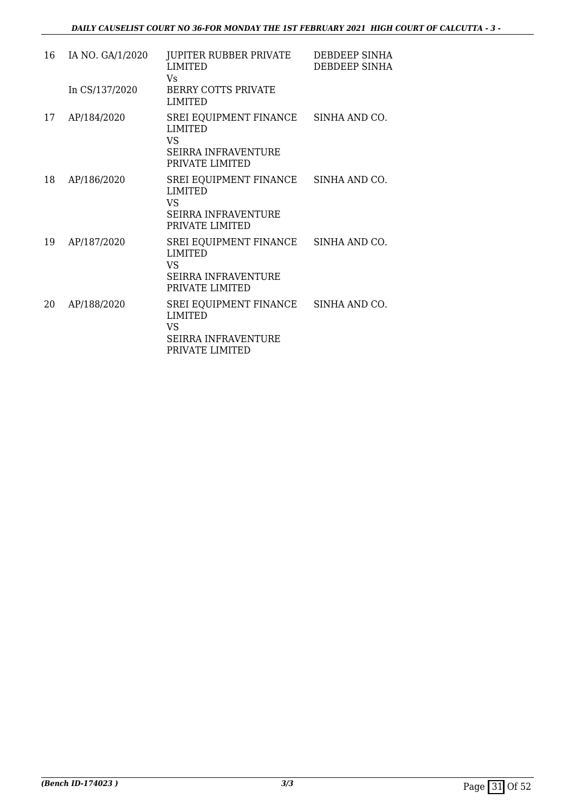| 16 | IA NO. GA/1/2020 | JUPITER RUBBER PRIVATE<br><b>LIMITED</b><br>Vs.                                                                      | DEBDEEP SINHA<br>DEBDEEP SINHA |
|----|------------------|----------------------------------------------------------------------------------------------------------------------|--------------------------------|
|    | In CS/137/2020   | <b>BERRY COTTS PRIVATE</b><br><b>LIMITED</b>                                                                         |                                |
| 17 | AP/184/2020      | SREI EQUIPMENT FINANCE SINHA AND CO.<br><b>LIMITED</b><br>VS<br><b>SEIRRA INFRAVENTURE</b><br>PRIVATE LIMITED        |                                |
| 18 | AP/186/2020      | SREI EQUIPMENT FINANCE SINHA AND CO.<br><b>LIMITED</b><br><b>VS</b><br><b>SEIRRA INFRAVENTURE</b><br>PRIVATE LIMITED |                                |
| 19 | AP/187/2020      | SREI EQUIPMENT FINANCE<br><b>LIMITED</b><br>VS<br><b>SEIRRA INFRAVENTURE</b><br>PRIVATE LIMITED                      | SINHA AND CO.                  |
| 20 | AP/188/2020      | SREI EQUIPMENT FINANCE SINHA AND CO.<br><b>LIMITED</b><br>VS<br>SEIRRA INFRAVENTURE<br>PRIVATE LIMITED               |                                |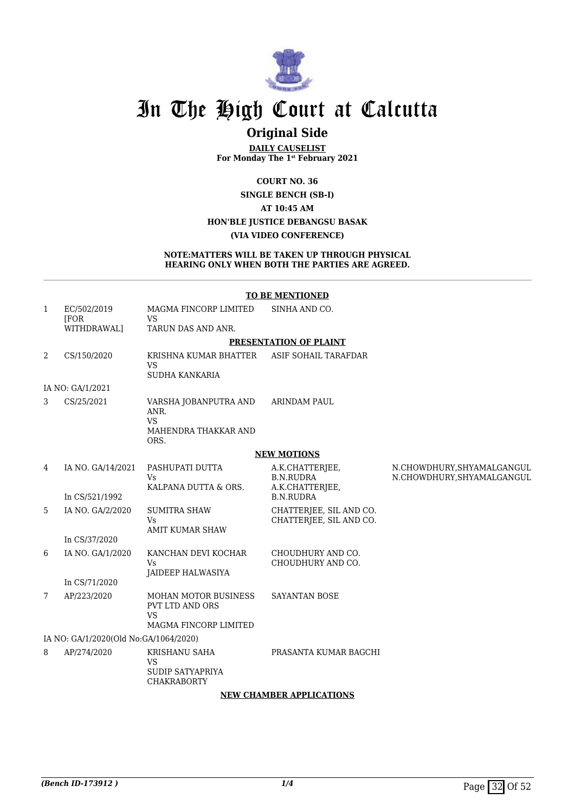

### **Original Side**

**DAILY CAUSELIST For Monday The 1st February 2021**

**COURT NO. 36**

**SINGLE BENCH (SB-I)**

#### **AT 10:45 AM**

#### **HON'BLE JUSTICE DEBANGSU BASAK**

#### **(VIA VIDEO CONFERENCE)**

#### **NOTE:MATTERS WILL BE TAKEN UP THROUGH PHYSICAL HEARING ONLY WHEN BOTH THE PARTIES ARE AGREED.**

|   | <b>TO BE MENTIONED</b>                |                                                                                      |                                                        |                                                          |  |  |
|---|---------------------------------------|--------------------------------------------------------------------------------------|--------------------------------------------------------|----------------------------------------------------------|--|--|
| 1 | EC/502/2019<br>[FOR<br>WITHDRAWAL]    | MAGMA FINCORP LIMITED<br><b>VS</b><br>TARUN DAS AND ANR.                             | SINHA AND CO.                                          |                                                          |  |  |
|   |                                       |                                                                                      | PRESENTATION OF PLAINT                                 |                                                          |  |  |
| 2 | CS/150/2020                           | KRISHNA KUMAR BHATTER<br><b>VS</b><br>SUDHA KANKARIA                                 | ASIF SOHAIL TARAFDAR                                   |                                                          |  |  |
|   | IA NO: GA/1/2021                      |                                                                                      |                                                        |                                                          |  |  |
| 3 | CS/25/2021                            | VARSHA JOBANPUTRA AND<br>ANR.<br><b>VS</b><br>MAHENDRA THAKKAR AND<br>ORS.           | <b>ARINDAM PAUL</b>                                    |                                                          |  |  |
|   |                                       |                                                                                      | <b>NEW MOTIONS</b>                                     |                                                          |  |  |
| 4 | IA NO. GA/14/2021                     | PASHUPATI DUTTA<br><b>Vs</b><br>KALPANA DUTTA & ORS.                                 | A.K.CHATTERJEE,<br><b>B.N.RUDRA</b><br>A.K.CHATTERJEE, | N.CHOWDHURY, SHYAMALGANGUL<br>N.CHOWDHURY, SHYAMALGANGUL |  |  |
|   | In CS/521/1992                        |                                                                                      | <b>B.N.RUDRA</b>                                       |                                                          |  |  |
| 5 | IA NO. GA/2/2020                      | <b>SUMITRA SHAW</b><br><b>Vs</b><br><b>AMIT KUMAR SHAW</b>                           | CHATTERJEE, SIL AND CO.<br>CHATTERJEE, SIL AND CO.     |                                                          |  |  |
|   | In CS/37/2020                         |                                                                                      |                                                        |                                                          |  |  |
| 6 | IA NO. GA/1/2020                      | KANCHAN DEVI KOCHAR<br><b>Vs</b><br>JAIDEEP HALWASIYA                                | CHOUDHURY AND CO.<br>CHOUDHURY AND CO.                 |                                                          |  |  |
|   | In CS/71/2020                         |                                                                                      |                                                        |                                                          |  |  |
| 7 | AP/223/2020                           | <b>MOHAN MOTOR BUSINESS</b><br>PVT LTD AND ORS<br><b>VS</b><br>MAGMA FINCORP LIMITED | <b>SAYANTAN BOSE</b>                                   |                                                          |  |  |
|   | IA NO: GA/1/2020(Old No:GA/1064/2020) |                                                                                      |                                                        |                                                          |  |  |
| 8 | AP/274/2020                           | KRISHANU SAHA<br><b>VS</b><br><b>SUDIP SATYAPRIYA</b><br><b>CHAKRABORTY</b>          | PRASANTA KUMAR BAGCHI                                  |                                                          |  |  |

#### **NEW CHAMBER APPLICATIONS**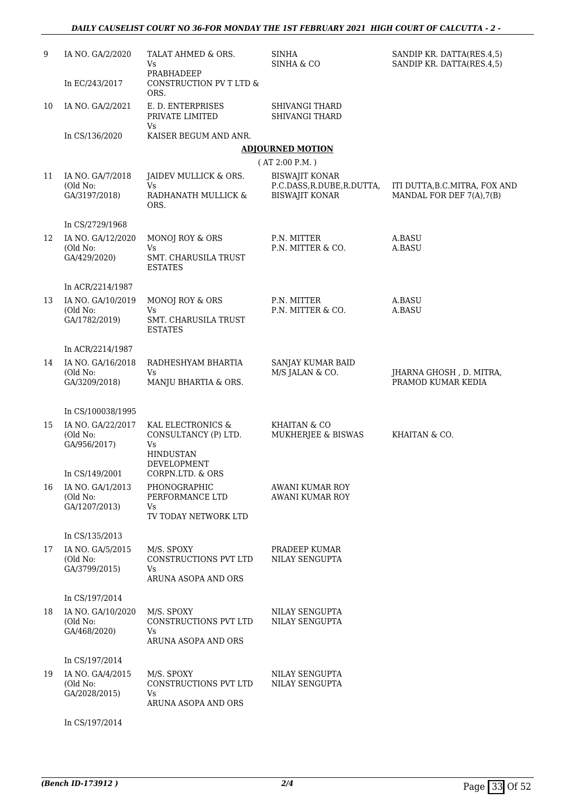| 9  | IA NO. GA/2/2020                               | TALAT AHMED & ORS.<br>Vs<br>PRABHADEEP                                     | <b>SINHA</b><br>SINHA & CO                                                   | SANDIP KR. DATTA(RES.4,5)<br>SANDIP KR. DATTA(RES.4,5)     |
|----|------------------------------------------------|----------------------------------------------------------------------------|------------------------------------------------------------------------------|------------------------------------------------------------|
|    | In EC/243/2017                                 | CONSTRUCTION PV T LTD &<br>ORS.                                            |                                                                              |                                                            |
| 10 | IA NO. GA/2/2021                               | E. D. ENTERPRISES<br>PRIVATE LIMITED                                       | <b>SHIVANGI THARD</b><br><b>SHIVANGI THARD</b>                               |                                                            |
|    | In CS/136/2020                                 | Vs<br>KAISER BEGUM AND ANR.                                                |                                                                              |                                                            |
|    |                                                |                                                                            | <b>ADJOURNED MOTION</b>                                                      |                                                            |
|    |                                                |                                                                            | (AT 2:00 P.M.)                                                               |                                                            |
| 11 | IA NO. GA/7/2018<br>(Old No:<br>GA/3197/2018)  | JAIDEV MULLICK & ORS.<br>Vs<br>RADHANATH MULLICK &<br>ORS.                 | <b>BISWAJIT KONAR</b><br>P.C.DASS, R.DUBE, R.DUTTA,<br><b>BISWAJIT KONAR</b> | ITI DUTTA, B.C.MITRA, FOX AND<br>MANDAL FOR DEF 7(A), 7(B) |
|    | In CS/2729/1968                                |                                                                            |                                                                              |                                                            |
| 12 | IA NO. GA/12/2020<br>(Old No:<br>GA/429/2020)  | MONOJ ROY & ORS<br>Vs.<br>SMT. CHARUSILA TRUST<br><b>ESTATES</b>           | P.N. MITTER<br>P.N. MITTER & CO.                                             | A.BASU<br>A.BASU                                           |
|    | In ACR/2214/1987                               |                                                                            |                                                                              |                                                            |
| 13 | IA NO. GA/10/2019<br>(Old No:<br>GA/1782/2019) | <b>MONOJ ROY &amp; ORS</b><br>Vs<br>SMT. CHARUSILA TRUST<br><b>ESTATES</b> | P.N. MITTER<br>P.N. MITTER & CO.                                             | A.BASU<br>A.BASU                                           |
|    | In ACR/2214/1987                               |                                                                            |                                                                              |                                                            |
| 14 | IA NO. GA/16/2018<br>(Old No:<br>GA/3209/2018) | RADHESHYAM BHARTIA<br><b>Vs</b><br>MANJU BHARTIA & ORS.                    | SANJAY KUMAR BAID<br>M/S JALAN & CO.                                         | JHARNA GHOSH, D. MITRA,<br>PRAMOD KUMAR KEDIA              |
|    |                                                |                                                                            |                                                                              |                                                            |
| 15 | In CS/100038/1995<br>IA NO. GA/22/2017         | KAL ELECTRONICS &                                                          | KHAITAN & CO                                                                 |                                                            |
|    | (Old No:<br>GA/956/2017)                       | CONSULTANCY (P) LTD.<br>Vs.<br><b>HINDUSTAN</b>                            | MUKHERJEE & BISWAS                                                           | KHAITAN & CO.                                              |
|    | In CS/149/2001                                 | DEVELOPMENT<br>CORPN.LTD. & ORS                                            |                                                                              |                                                            |
| 16 | IA NO. GA/1/2013<br>(Old No:<br>GA/1207/2013)  | PHONOGRAPHIC<br>PERFORMANCE LTD<br>Vs<br>TV TODAY NETWORK LTD              | AWANI KUMAR ROY<br>AWANI KUMAR ROY                                           |                                                            |
|    | In CS/135/2013                                 |                                                                            |                                                                              |                                                            |
| 17 | IA NO. GA/5/2015<br>(Old No:<br>GA/3799/2015)  | M/S. SPOXY<br><b>CONSTRUCTIONS PVT LTD</b><br>Vs<br>ARUNA ASOPA AND ORS    | PRADEEP KUMAR<br>NILAY SENGUPTA                                              |                                                            |
|    | In CS/197/2014                                 |                                                                            |                                                                              |                                                            |
| 18 | IA NO. GA/10/2020<br>(Old No:<br>GA/468/2020)  | M/S. SPOXY<br>CONSTRUCTIONS PVT LTD<br>Vs<br>ARUNA ASOPA AND ORS           | NILAY SENGUPTA<br>NILAY SENGUPTA                                             |                                                            |
|    | In CS/197/2014                                 |                                                                            |                                                                              |                                                            |
| 19 | IA NO. GA/4/2015<br>(Old No:<br>GA/2028/2015)  | M/S. SPOXY<br>CONSTRUCTIONS PVT LTD<br>Vs.<br>ARUNA ASOPA AND ORS          | NILAY SENGUPTA<br>NILAY SENGUPTA                                             |                                                            |
|    | In CS/197/2014                                 |                                                                            |                                                                              |                                                            |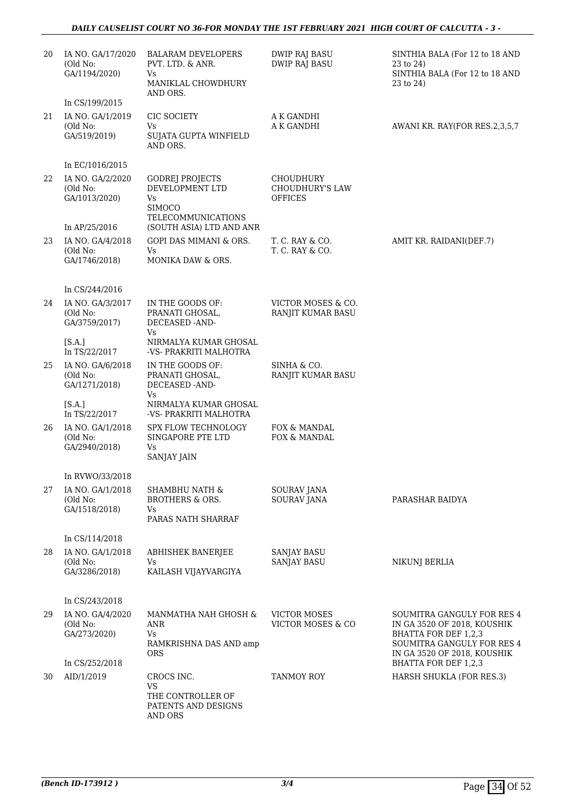#### *DAILY CAUSELIST COURT NO 36-FOR MONDAY THE 1ST FEBRUARY 2021 HIGH COURT OF CALCUTTA - 3 -*

| 20 | IA NO. GA/17/2020<br>(Old No:<br>GA/1194/2020)<br>In CS/199/2015 | <b>BALARAM DEVELOPERS</b><br>PVT. LTD. & ANR.<br>Vs<br>MANIKLAL CHOWDHURY<br>AND ORS.  | <b>DWIP RAJ BASU</b><br><b>DWIP RAJ BASU</b>          | SINTHIA BALA (For 12 to 18 AND<br>23 to 24)<br>SINTHIA BALA (For 12 to 18 AND<br>23 to 24)                                                     |
|----|------------------------------------------------------------------|----------------------------------------------------------------------------------------|-------------------------------------------------------|------------------------------------------------------------------------------------------------------------------------------------------------|
| 21 | IA NO. GA/1/2019<br>(Old No:<br>GA/519/2019)                     | CIC SOCIETY<br>Vs<br>SUJATA GUPTA WINFIELD<br>AND ORS.                                 | A K GANDHI<br>A K GANDHI                              | AWANI KR. RAY(FOR RES.2,3,5,7                                                                                                                  |
|    | In EC/1016/2015                                                  |                                                                                        |                                                       |                                                                                                                                                |
| 22 | IA NO. GA/2/2020<br>(Old No:<br>GA/1013/2020)                    | <b>GODREJ PROJECTS</b><br>DEVELOPMENT LTD<br>Vs<br><b>SIMOCO</b><br>TELECOMMUNICATIONS | <b>CHOUDHURY</b><br>CHOUDHURY'S LAW<br><b>OFFICES</b> |                                                                                                                                                |
|    | In AP/25/2016                                                    | (SOUTH ASIA) LTD AND ANR                                                               |                                                       |                                                                                                                                                |
| 23 | IA NO. GA/4/2018<br>(Old No:<br>GA/1746/2018)                    | GOPI DAS MIMANI & ORS.<br>Vs<br>MONIKA DAW & ORS.                                      | T. C. RAY & CO.<br>T. C. RAY & CO.                    | AMIT KR. RAIDANI(DEF.7)                                                                                                                        |
|    | In CS/244/2016                                                   |                                                                                        |                                                       |                                                                                                                                                |
| 24 | IA NO. GA/3/2017<br>(Old No:<br>GA/3759/2017)                    | IN THE GOODS OF:<br>PRANATI GHOSAL,<br>DECEASED -AND-<br>Vs                            | VICTOR MOSES & CO.<br>RANJIT KUMAR BASU               |                                                                                                                                                |
|    | [S.A.]<br>In TS/22/2017                                          | NIRMALYA KUMAR GHOSAL<br>-VS- PRAKRITI MALHOTRA                                        |                                                       |                                                                                                                                                |
| 25 | IA NO. GA/6/2018<br>(Old No:<br>GA/1271/2018)                    | IN THE GOODS OF:<br>PRANATI GHOSAL,<br>DECEASED -AND-<br>Vs                            | SINHA & CO.<br>RANJIT KUMAR BASU                      |                                                                                                                                                |
|    | [S.A.]<br>In TS/22/2017                                          | NIRMALYA KUMAR GHOSAL<br>-VS- PRAKRITI MALHOTRA                                        |                                                       |                                                                                                                                                |
| 26 | IA NO. GA/1/2018<br>(Old No:<br>GA/2940/2018)                    | <b>SPX FLOW TECHNOLOGY</b><br>SINGAPORE PTE LTD<br>Vs.<br><b>SANJAY JAIN</b>           | FOX & MANDAL<br>FOX & MANDAL                          |                                                                                                                                                |
|    | In RVWO/33/2018                                                  |                                                                                        |                                                       |                                                                                                                                                |
| 27 | IA NO. GA/1/2018<br>(Old No:<br>GA/1518/2018)                    | SHAMBHU NATH &<br>BROTHERS & ORS.<br>Vs<br>PARAS NATH SHARRAF                          | <b>SOURAV JANA</b><br>SOURAV JANA                     | PARASHAR BAIDYA                                                                                                                                |
|    |                                                                  |                                                                                        |                                                       |                                                                                                                                                |
|    | In CS/114/2018                                                   |                                                                                        |                                                       |                                                                                                                                                |
| 28 | IA NO. GA/1/2018<br>(Old No:                                     | ABHISHEK BANERJEE<br><b>Vs</b>                                                         | <b>SANJAY BASU</b><br><b>SANJAY BASU</b>              | NIKUNJ BERLIA                                                                                                                                  |
|    | GA/3286/2018)                                                    | KAILASH VIJAYVARGIYA                                                                   |                                                       |                                                                                                                                                |
|    | In CS/243/2018                                                   |                                                                                        |                                                       |                                                                                                                                                |
| 29 | IA NO. GA/4/2020<br>(Old No:<br>GA/273/2020)                     | MANMATHA NAH GHOSH &<br>ANR<br><b>Vs</b><br>RAMKRISHNA DAS AND amp<br><b>ORS</b>       | <b>VICTOR MOSES</b><br>VICTOR MOSES & CO              | SOUMITRA GANGULY FOR RES 4<br>IN GA 3520 OF 2018, KOUSHIK<br>BHATTA FOR DEF 1,2,3<br>SOUMITRA GANGULY FOR RES 4<br>IN GA 3520 OF 2018, KOUSHIK |
|    | In CS/252/2018                                                   |                                                                                        |                                                       | BHATTA FOR DEF 1,2,3                                                                                                                           |
| 30 | AID/1/2019                                                       | CROCS INC.<br><b>VS</b><br>THE CONTROLLER OF<br>PATENTS AND DESIGNS<br>AND ORS         | <b>TANMOY ROY</b>                                     | HARSH SHUKLA (FOR RES.3)                                                                                                                       |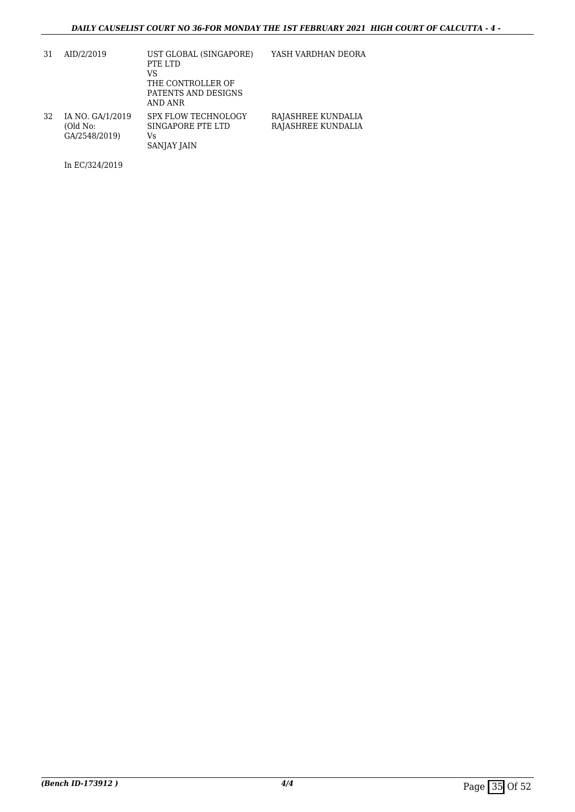| 31 | AID/2/2019                                    | UST GLOBAL (SINGAPORE)<br>PTE LTD<br>VS<br>THE CONTROLLER OF<br>PATENTS AND DESIGNS<br>AND ANR | YASH VARDHAN DEORA                       |
|----|-----------------------------------------------|------------------------------------------------------------------------------------------------|------------------------------------------|
| 32 | IA NO. GA/1/2019<br>(Old No:<br>GA/2548/2019) | <b>SPX FLOW TECHNOLOGY</b><br>SINGAPORE PTE LTD<br>Vs<br><b>SANJAY JAIN</b>                    | RAJASHREE KUNDALIA<br>RAJASHREE KUNDALIA |

In EC/324/2019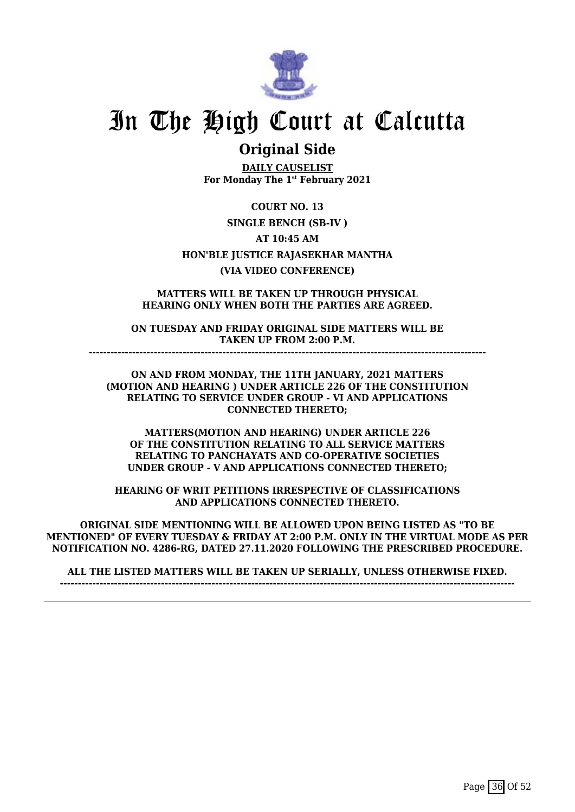

### **Original Side**

**DAILY CAUSELIST For Monday The 1st February 2021**

**COURT NO. 13 SINGLE BENCH (SB-IV ) AT 10:45 AM HON'BLE JUSTICE RAJASEKHAR MANTHA (VIA VIDEO CONFERENCE)**

**MATTERS WILL BE TAKEN UP THROUGH PHYSICAL HEARING ONLY WHEN BOTH THE PARTIES ARE AGREED.**

**ON TUESDAY AND FRIDAY ORIGINAL SIDE MATTERS WILL BE TAKEN UP FROM 2:00 P.M.**

**--------------------------------------------------------------------------------------------------------------**

**ON AND FROM MONDAY, THE 11TH JANUARY, 2021 MATTERS (MOTION AND HEARING ) UNDER ARTICLE 226 OF THE CONSTITUTION RELATING TO SERVICE UNDER GROUP - VI AND APPLICATIONS CONNECTED THERETO;**

**MATTERS(MOTION AND HEARING) UNDER ARTICLE 226 OF THE CONSTITUTION RELATING TO ALL SERVICE MATTERS RELATING TO PANCHAYATS AND CO-OPERATIVE SOCIETIES UNDER GROUP - V AND APPLICATIONS CONNECTED THERETO;**

**HEARING OF WRIT PETITIONS IRRESPECTIVE OF CLASSIFICATIONS AND APPLICATIONS CONNECTED THERETO.**

**ORIGINAL SIDE MENTIONING WILL BE ALLOWED UPON BEING LISTED AS "TO BE MENTIONED" OF EVERY TUESDAY & FRIDAY AT 2:00 P.M. ONLY IN THE VIRTUAL MODE AS PER NOTIFICATION NO. 4286-RG, DATED 27.11.2020 FOLLOWING THE PRESCRIBED PROCEDURE.**

**ALL THE LISTED MATTERS WILL BE TAKEN UP SERIALLY, UNLESS OTHERWISE FIXED. ------------------------------------------------------------------------------------------------------------------------------**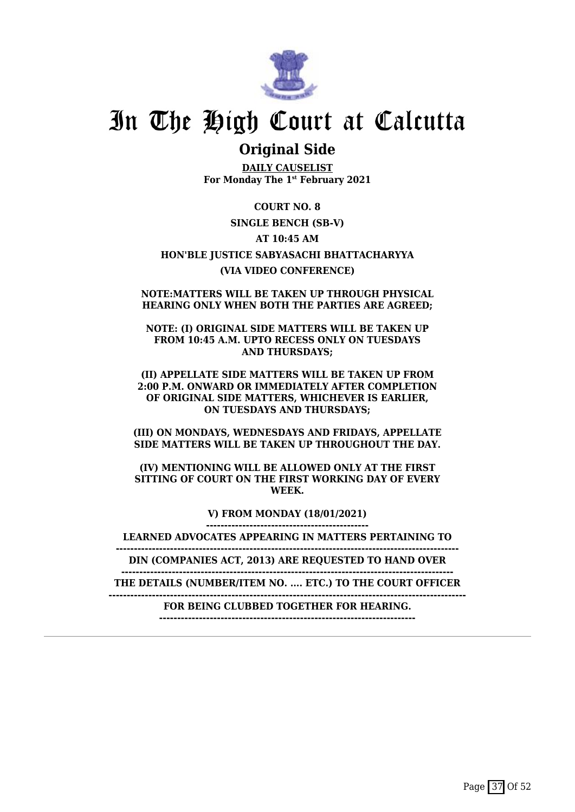

### **Original Side**

**DAILY CAUSELIST For Monday The 1st February 2021**

**COURT NO. 8 SINGLE BENCH (SB-V) AT 10:45 AM HON'BLE JUSTICE SABYASACHI BHATTACHARYYA (VIA VIDEO CONFERENCE)**

**NOTE:MATTERS WILL BE TAKEN UP THROUGH PHYSICAL HEARING ONLY WHEN BOTH THE PARTIES ARE AGREED;**

**NOTE: (I) ORIGINAL SIDE MATTERS WILL BE TAKEN UP FROM 10:45 A.M. UPTO RECESS ONLY ON TUESDAYS AND THURSDAYS;**

**(II) APPELLATE SIDE MATTERS WILL BE TAKEN UP FROM 2:00 P.M. ONWARD OR IMMEDIATELY AFTER COMPLETION OF ORIGINAL SIDE MATTERS, WHICHEVER IS EARLIER, ON TUESDAYS AND THURSDAYS;**

**(III) ON MONDAYS, WEDNESDAYS AND FRIDAYS, APPELLATE SIDE MATTERS WILL BE TAKEN UP THROUGHOUT THE DAY.**

**(IV) MENTIONING WILL BE ALLOWED ONLY AT THE FIRST SITTING OF COURT ON THE FIRST WORKING DAY OF EVERY WEEK.**

> **V) FROM MONDAY (18/01/2021) ---------------------------------------------**

**LEARNED ADVOCATES APPEARING IN MATTERS PERTAINING TO**

**-----------------------------------------------------------------------------------------------**

**DIN (COMPANIES ACT, 2013) ARE REQUESTED TO HAND OVER --------------------------------------------------------------------------------------------**

**THE DETAILS (NUMBER/ITEM NO. .... ETC.) TO THE COURT OFFICER**

**---------------------------------------------------------------------------------------------------**

**FOR BEING CLUBBED TOGETHER FOR HEARING. -----------------------------------------------------------------------**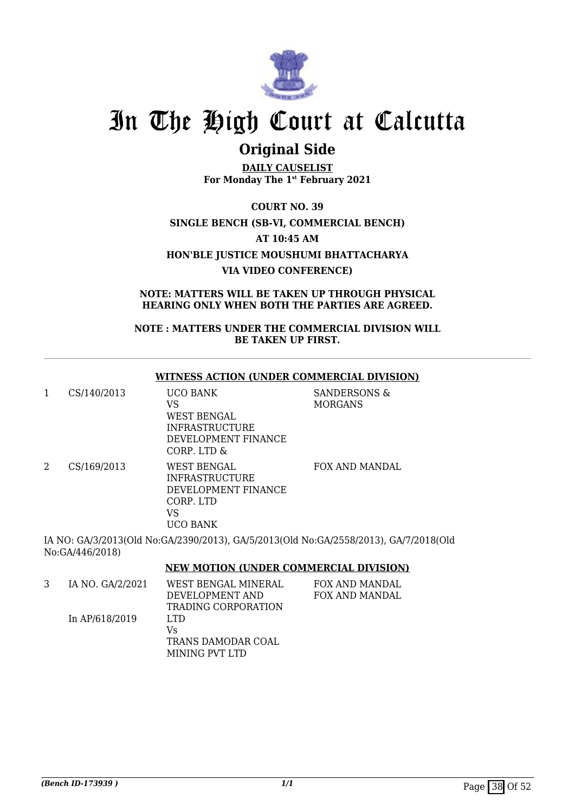

### **Original Side**

**DAILY CAUSELIST For Monday The 1st February 2021**

**COURT NO. 39 SINGLE BENCH (SB-VI, COMMERCIAL BENCH) AT 10:45 AM HON'BLE JUSTICE MOUSHUMI BHATTACHARYA VIA VIDEO CONFERENCE)**

**NOTE: MATTERS WILL BE TAKEN UP THROUGH PHYSICAL HEARING ONLY WHEN BOTH THE PARTIES ARE AGREED.**

**NOTE : MATTERS UNDER THE COMMERCIAL DIVISION WILL BE TAKEN UP FIRST.**

#### **WITNESS ACTION (UNDER COMMERCIAL DIVISION)**

1 CS/140/2013 UCO BANK VS WEST BENGAL INFRASTRUCTURE DEVELOPMENT FINANCE CORP. LTD & SANDERSONS & MORGANS 2 CS/169/2013 WEST BENGAL INFRASTRUCTURE DEVELOPMENT FINANCE CORP. LTD VS UCO BANK FOX AND MANDAL

IA NO: GA/3/2013(Old No:GA/2390/2013), GA/5/2013(Old No:GA/2558/2013), GA/7/2018(Old No:GA/446/2018)

#### **NEW MOTION (UNDER COMMERCIAL DIVISION)**

| IA NO. GA/2/2021 | WEST BENGAL MINERAL | FOX AND MANDAL |
|------------------|---------------------|----------------|
|                  | DEVELOPMENT AND     | FOX AND MANDAL |
|                  | TRADING CORPORATION |                |
| In AP/618/2019   | LTD.                |                |
|                  | Vs                  |                |
|                  | TRANS DAMODAR COAL  |                |
|                  | MINING PVT LTD      |                |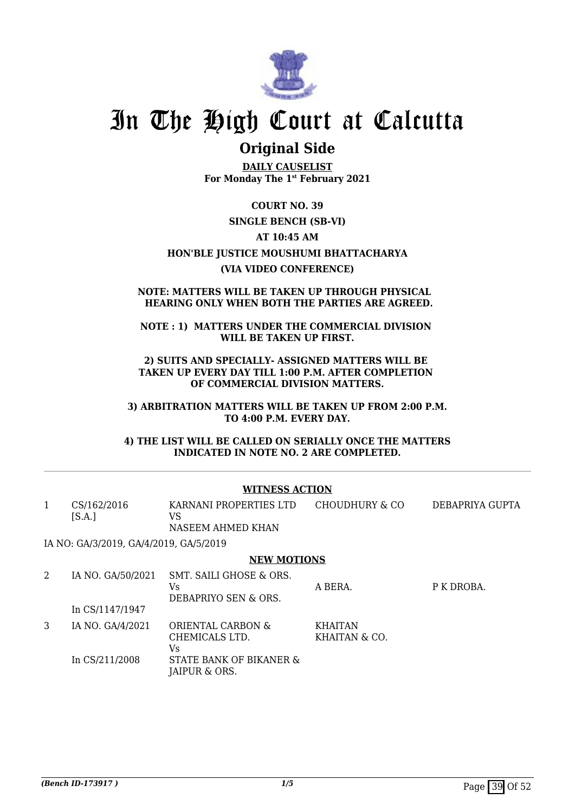

### **Original Side**

**DAILY CAUSELIST For Monday The 1st February 2021**

**COURT NO. 39**

#### **SINGLE BENCH (SB-VI)**

#### **AT 10:45 AM**

**HON'BLE JUSTICE MOUSHUMI BHATTACHARYA**

#### **(VIA VIDEO CONFERENCE)**

#### **NOTE: MATTERS WILL BE TAKEN UP THROUGH PHYSICAL HEARING ONLY WHEN BOTH THE PARTIES ARE AGREED.**

#### **NOTE : 1) MATTERS UNDER THE COMMERCIAL DIVISION WILL BE TAKEN UP FIRST.**

**2) SUITS AND SPECIALLY- ASSIGNED MATTERS WILL BE TAKEN UP EVERY DAY TILL 1:00 P.M. AFTER COMPLETION OF COMMERCIAL DIVISION MATTERS.**

**3) ARBITRATION MATTERS WILL BE TAKEN UP FROM 2:00 P.M. TO 4:00 P.M. EVERY DAY.**

**4) THE LIST WILL BE CALLED ON SERIALLY ONCE THE MATTERS INDICATED IN NOTE NO. 2 ARE COMPLETED.**

#### **WITNESS ACTION**

| CS/162/2016                                                                                                                                                                                                                                                                                                       | KARNANI PROPERTIES LTD | CHOUDHURY & CO | DEBAPRIYA GUPTA |
|-------------------------------------------------------------------------------------------------------------------------------------------------------------------------------------------------------------------------------------------------------------------------------------------------------------------|------------------------|----------------|-----------------|
| [S.A.]                                                                                                                                                                                                                                                                                                            | NASEEM AHMED KHAN      |                |                 |
| $\ddot{ }$ $\ddot{ }$ $\ddot{ }$ $\ddot{ }$ $\ddot{ }$ $\ddot{ }$ $\ddot{ }$ $\ddot{ }$ $\ddot{ }$ $\ddot{ }$ $\ddot{ }$ $\ddot{ }$ $\ddot{ }$ $\ddot{ }$ $\ddot{ }$ $\ddot{ }$ $\ddot{ }$ $\ddot{ }$ $\ddot{ }$ $\ddot{ }$ $\ddot{ }$ $\ddot{ }$ $\ddot{ }$ $\ddot{ }$ $\ddot{ }$ $\ddot{ }$ $\ddot{ }$ $\ddot{$ |                        |                |                 |

IA NO: GA/3/2019, GA/4/2019, GA/5/2019

#### **NEW MOTIONS**

|   | IA NO. GA/50/2021 | SMT. SAILI GHOSE & ORS.<br>Vs<br>DEBAPRIYO SEN & ORS. | A BERA.                         | P K DROBA. |
|---|-------------------|-------------------------------------------------------|---------------------------------|------------|
|   | In CS/1147/1947   |                                                       |                                 |            |
| 3 | IA NO. GA/4/2021  | ORIENTAL CARBON &<br>CHEMICALS LTD.<br>Vs             | <b>KHAITAN</b><br>KHAITAN & CO. |            |
|   | In CS/211/2008    | STATE BANK OF BIKANER &<br>JAIPUR & ORS.              |                                 |            |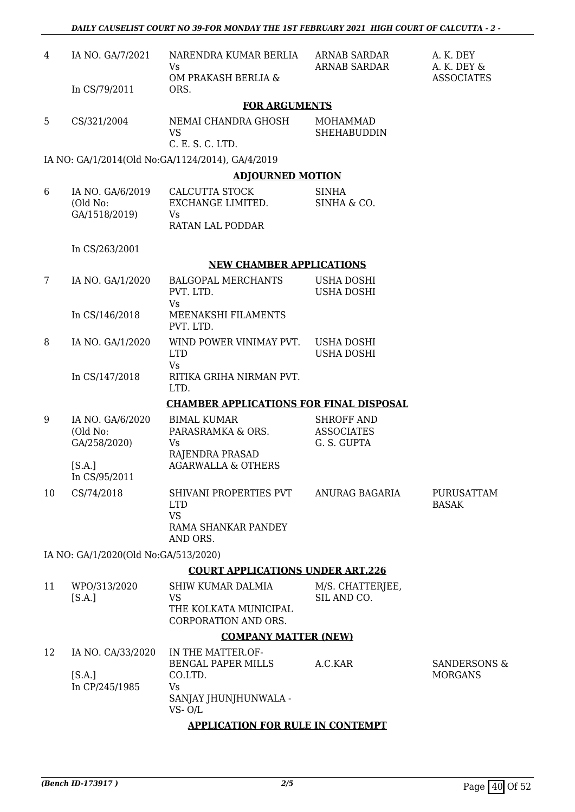| 4  | IA NO. GA/7/2021                              | NARENDRA KUMAR BERLIA<br>Vs                                                            | ARNAB SARDAR<br><b>ARNAB SARDAR</b>                   | A. K. DEY<br>A. K. DEY &                  |
|----|-----------------------------------------------|----------------------------------------------------------------------------------------|-------------------------------------------------------|-------------------------------------------|
|    | In CS/79/2011                                 | OM PRAKASH BERLIA &<br>ORS.                                                            |                                                       | <b>ASSOCIATES</b>                         |
|    |                                               | <b>FOR ARGUMENTS</b>                                                                   |                                                       |                                           |
| 5  | CS/321/2004                                   | NEMAI CHANDRA GHOSH<br><b>VS</b><br>C. E. S. C. LTD.                                   | <b>MOHAMMAD</b><br><b>SHEHABUDDIN</b>                 |                                           |
|    |                                               | IA NO: GA/1/2014(Old No:GA/1124/2014), GA/4/2019                                       |                                                       |                                           |
|    |                                               | <b>ADJOURNED MOTION</b>                                                                |                                                       |                                           |
| 6  | IA NO. GA/6/2019<br>(Old No:<br>GA/1518/2019) | CALCUTTA STOCK<br>EXCHANGE LIMITED.<br><b>Vs</b><br>RATAN LAL PODDAR                   | <b>SINHA</b><br>SINHA & CO.                           |                                           |
|    |                                               |                                                                                        |                                                       |                                           |
|    | In CS/263/2001                                | <b>NEW CHAMBER APPLICATIONS</b>                                                        |                                                       |                                           |
| 7  |                                               | <b>BALGOPAL MERCHANTS</b>                                                              |                                                       |                                           |
|    | IA NO. GA/1/2020                              | PVT. LTD.<br><b>Vs</b>                                                                 | USHA DOSHI<br><b>USHA DOSHI</b>                       |                                           |
|    | In CS/146/2018                                | MEENAKSHI FILAMENTS<br>PVT. LTD.                                                       |                                                       |                                           |
| 8  | IA NO. GA/1/2020                              | WIND POWER VINIMAY PVT.<br><b>LTD</b><br><b>Vs</b>                                     | <b>USHA DOSHI</b><br><b>USHA DOSHI</b>                |                                           |
|    | In CS/147/2018                                | RITIKA GRIHA NIRMAN PVT.<br>LTD.                                                       |                                                       |                                           |
|    |                                               | <b>CHAMBER APPLICATIONS FOR FINAL DISPOSAL</b>                                         |                                                       |                                           |
| 9  | IA NO. GA/6/2020<br>(Old No:<br>GA/258/2020)  | <b>BIMAL KUMAR</b><br>PARASRAMKA & ORS.<br>Vs                                          | <b>SHROFF AND</b><br><b>ASSOCIATES</b><br>G. S. GUPTA |                                           |
|    | [S.A.]<br>In CS/95/2011                       | RAJENDRA PRASAD<br><b>AGARWALLA &amp; OTHERS</b>                                       |                                                       |                                           |
| 10 | CS/74/2018                                    | SHIVANI PROPERTIES PVT<br><b>LTD</b><br><b>VS</b>                                      | ANURAG BAGARIA                                        | PURUSATTAM<br><b>BASAK</b>                |
|    |                                               | RAMA SHANKAR PANDEY<br>AND ORS.                                                        |                                                       |                                           |
|    | IA NO: GA/1/2020(Old No:GA/513/2020)          |                                                                                        |                                                       |                                           |
|    |                                               | <b>COURT APPLICATIONS UNDER ART.226</b>                                                |                                                       |                                           |
| 11 | WPO/313/2020<br>[S.A.]                        | <b>SHIW KUMAR DALMIA</b><br><b>VS</b><br>THE KOLKATA MUNICIPAL<br>CORPORATION AND ORS. | M/S. CHATTERJEE,<br>SIL AND CO.                       |                                           |
|    |                                               | <b>COMPANY MATTER (NEW)</b>                                                            |                                                       |                                           |
| 12 | IA NO. CA/33/2020<br>[S.A.]<br>In CP/245/1985 | IN THE MATTER.OF-<br>BENGAL PAPER MILLS<br>CO.LTD.<br>Vs                               | A.C.KAR                                               | <b>SANDERSONS &amp;</b><br><b>MORGANS</b> |
|    |                                               | SANJAY JHUNJHUNWALA -<br>$VS - O/L$                                                    |                                                       |                                           |
|    |                                               | <b>APPLICATION FOR RULE IN CONTEMPT</b>                                                |                                                       |                                           |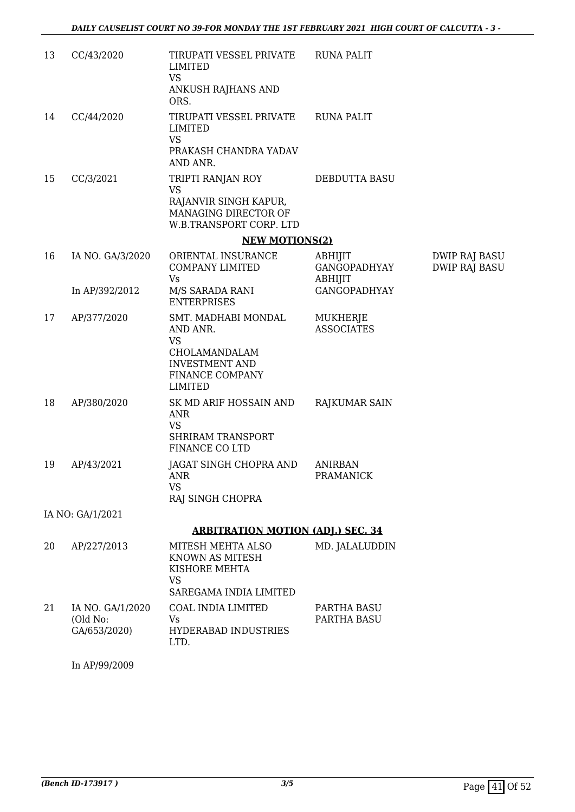| 13 | CC/43/2020                                   | TIRUPATI VESSEL PRIVATE<br>LIMITED<br><b>VS</b><br>ANKUSH RAJHANS AND<br>ORS.                                               | <b>RUNA PALIT</b>                  |                                       |
|----|----------------------------------------------|-----------------------------------------------------------------------------------------------------------------------------|------------------------------------|---------------------------------------|
| 14 | CC/44/2020                                   | TIRUPATI VESSEL PRIVATE<br><b>LIMITED</b><br><b>VS</b><br>PRAKASH CHANDRA YADAV<br>AND ANR.                                 | <b>RUNA PALIT</b>                  |                                       |
| 15 | CC/3/2021                                    | TRIPTI RANJAN ROY<br><b>VS</b><br>RAJANVIR SINGH KAPUR,<br>MANAGING DIRECTOR OF<br>W.B.TRANSPORT CORP. LTD                  | DEBDUTTA BASU                      |                                       |
|    |                                              | <b>NEW MOTIONS(2)</b>                                                                                                       |                                    |                                       |
| 16 | IA NO. GA/3/2020                             | ORIENTAL INSURANCE<br><b>COMPANY LIMITED</b><br>Vs                                                                          | ABHIJIT<br>GANGOPADHYAY<br>ABHIJIT | DWIP RAJ BASU<br><b>DWIP RAJ BASU</b> |
|    | In AP/392/2012                               | M/S SARADA RANI<br><b>ENTERPRISES</b>                                                                                       | <b>GANGOPADHYAY</b>                |                                       |
| 17 | AP/377/2020                                  | SMT. MADHABI MONDAL<br>AND ANR.<br><b>VS</b><br>CHOLAMANDALAM<br><b>INVESTMENT AND</b><br>FINANCE COMPANY<br><b>LIMITED</b> | MUKHERJE<br><b>ASSOCIATES</b>      |                                       |
| 18 | AP/380/2020                                  | SK MD ARIF HOSSAIN AND<br><b>ANR</b><br><b>VS</b><br><b>SHRIRAM TRANSPORT</b><br><b>FINANCE CO LTD</b>                      | RAJKUMAR SAIN                      |                                       |
| 19 | AP/43/2021                                   | JAGAT SINGH CHOPRA AND<br><b>ANR</b><br><b>VS</b><br>RAJ SINGH CHOPRA                                                       | <b>ANIRBAN</b><br>PRAMANICK        |                                       |
|    | IA NO: GA/1/2021                             |                                                                                                                             |                                    |                                       |
|    |                                              | <b>ARBITRATION MOTION (ADJ.) SEC. 34</b>                                                                                    |                                    |                                       |
| 20 | AP/227/2013                                  | MITESH MEHTA ALSO<br>KNOWN AS MITESH<br>KISHORE MEHTA<br><b>VS</b><br>SAREGAMA INDIA LIMITED                                | MD. JALALUDDIN                     |                                       |
| 21 | IA NO. GA/1/2020<br>(Old No:<br>GA/653/2020) | COAL INDIA LIMITED<br>Vs<br><b>HYDERABAD INDUSTRIES</b><br>LTD.                                                             | PARTHA BASU<br>PARTHA BASU         |                                       |
|    | In AP/99/2009                                |                                                                                                                             |                                    |                                       |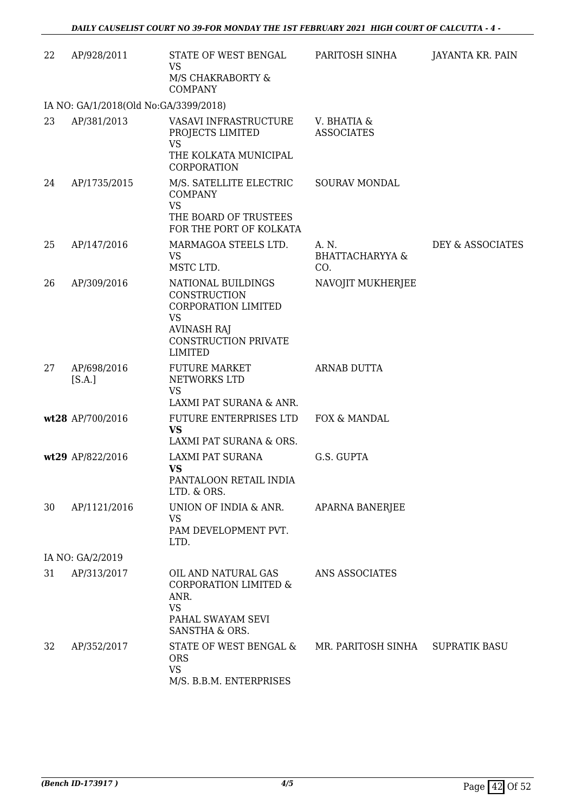| 22 | AP/928/2011                           | STATE OF WEST BENGAL<br><b>VS</b><br>M/S CHAKRABORTY &<br><b>COMPANY</b>                                                                      | PARITOSH SINHA                             | JAYANTA KR. PAIN     |
|----|---------------------------------------|-----------------------------------------------------------------------------------------------------------------------------------------------|--------------------------------------------|----------------------|
|    | IA NO: GA/1/2018(Old No:GA/3399/2018) |                                                                                                                                               |                                            |                      |
| 23 | AP/381/2013                           | VASAVI INFRASTRUCTURE<br>PROJECTS LIMITED<br><b>VS</b><br>THE KOLKATA MUNICIPAL<br>CORPORATION                                                | V. BHATIA &<br><b>ASSOCIATES</b>           |                      |
| 24 | AP/1735/2015                          | M/S. SATELLITE ELECTRIC<br><b>COMPANY</b><br><b>VS</b>                                                                                        | <b>SOURAV MONDAL</b>                       |                      |
|    |                                       | THE BOARD OF TRUSTEES<br>FOR THE PORT OF KOLKATA                                                                                              |                                            |                      |
| 25 | AP/147/2016                           | MARMAGOA STEELS LTD.<br><b>VS</b><br>MSTC LTD.                                                                                                | A. N.<br><b>BHATTACHARYYA &amp;</b><br>CO. | DEY & ASSOCIATES     |
| 26 | AP/309/2016                           | NATIONAL BUILDINGS<br>CONSTRUCTION<br><b>CORPORATION LIMITED</b><br><b>VS</b><br><b>AVINASH RAJ</b><br>CONSTRUCTION PRIVATE<br><b>LIMITED</b> | NAVOJIT MUKHERJEE                          |                      |
| 27 | AP/698/2016<br>[S.A.]                 | <b>FUTURE MARKET</b><br>NETWORKS LTD<br><b>VS</b>                                                                                             | ARNAB DUTTA                                |                      |
|    |                                       | LAXMI PAT SURANA & ANR.                                                                                                                       |                                            |                      |
|    | wt28 AP/700/2016                      | FUTURE ENTERPRISES LTD<br><b>VS</b><br>LAXMI PAT SURANA & ORS.                                                                                | FOX & MANDAL                               |                      |
|    | wt29 AP/822/2016                      | LAXMI PAT SURANA<br><b>VS</b><br>PANTALOON RETAIL INDIA<br>LTD. & ORS.                                                                        | G.S. GUPTA                                 |                      |
| 30 | AP/1121/2016                          | UNION OF INDIA & ANR.<br><b>VS</b><br>PAM DEVELOPMENT PVT.<br>LTD.                                                                            | APARNA BANERJEE                            |                      |
|    | IA NO: GA/2/2019                      |                                                                                                                                               |                                            |                      |
| 31 | AP/313/2017                           | OIL AND NATURAL GAS<br><b>CORPORATION LIMITED &amp;</b><br>ANR.<br><b>VS</b><br>PAHAL SWAYAM SEVI<br>SANSTHA & ORS.                           | ANS ASSOCIATES                             |                      |
| 32 | AP/352/2017                           | STATE OF WEST BENGAL &<br><b>ORS</b><br><b>VS</b><br>M/S. B.B.M. ENTERPRISES                                                                  | MR. PARITOSH SINHA                         | <b>SUPRATIK BASU</b> |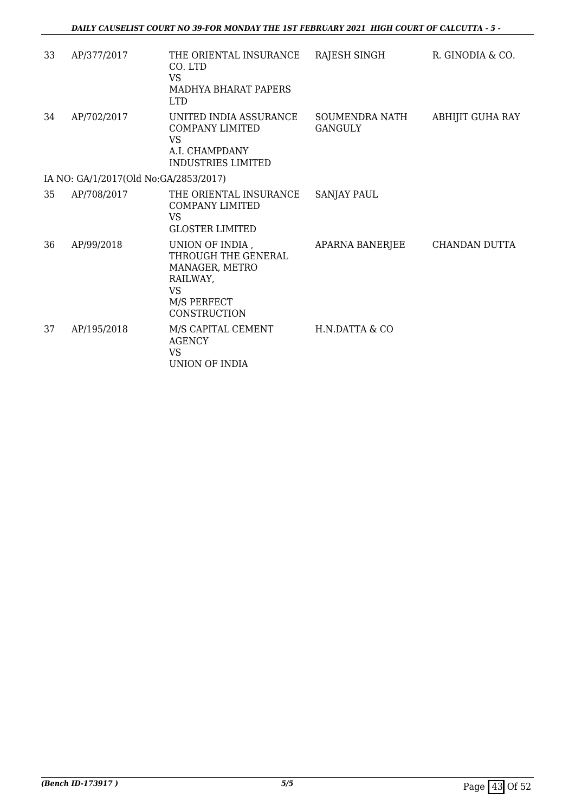| 33 | AP/377/2017                           | THE ORIENTAL INSURANCE<br>CO. LTD<br><b>VS</b><br><b>MADHYA BHARAT PAPERS</b><br><b>LTD</b>                      | RAJESH SINGH              | R. GINODIA & CO. |
|----|---------------------------------------|------------------------------------------------------------------------------------------------------------------|---------------------------|------------------|
| 34 | AP/702/2017                           | UNITED INDIA ASSURANCE<br><b>COMPANY LIMITED</b><br>VS<br>A.I. CHAMPDANY<br><b>INDUSTRIES LIMITED</b>            | SOUMENDRA NATH<br>GANGULY | ABHIJIT GUHA RAY |
|    | IA NO: GA/1/2017(Old No:GA/2853/2017) |                                                                                                                  |                           |                  |
| 35 | AP/708/2017                           | THE ORIENTAL INSURANCE<br><b>COMPANY LIMITED</b><br>VS<br><b>GLOSTER LIMITED</b>                                 | <b>SANJAY PAUL</b>        |                  |
| 36 | AP/99/2018                            | UNION OF INDIA,<br>THROUGH THE GENERAL<br>MANAGER, METRO<br>RAILWAY,<br><b>VS</b><br>M/S PERFECT<br>CONSTRUCTION | APARNA BANERJEE           | CHANDAN DUTTA    |
| 37 | AP/195/2018                           | M/S CAPITAL CEMENT<br><b>AGENCY</b><br><b>VS</b><br>UNION OF INDIA                                               | H.N.DATTA & CO            |                  |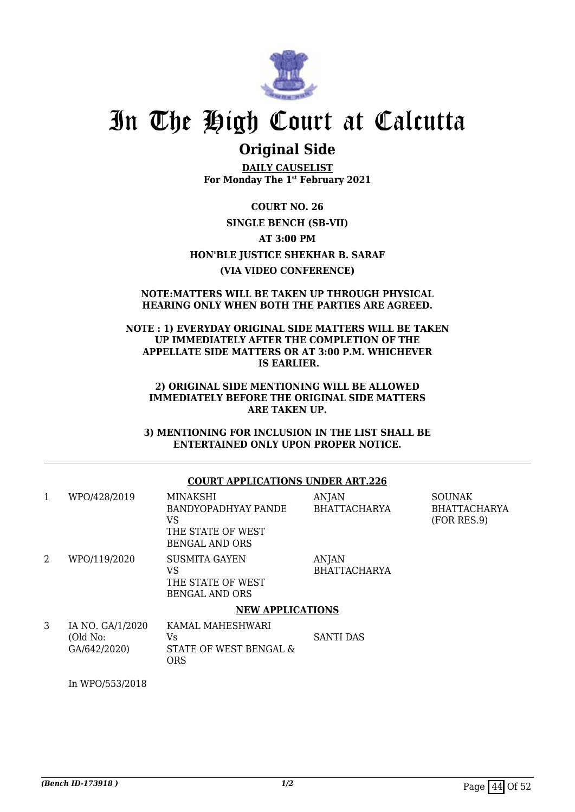

### **Original Side**

**DAILY CAUSELIST For Monday The 1st February 2021**

**COURT NO. 26 SINGLE BENCH (SB-VII) AT 3:00 PM HON'BLE JUSTICE SHEKHAR B. SARAF (VIA VIDEO CONFERENCE)**

#### **NOTE:MATTERS WILL BE TAKEN UP THROUGH PHYSICAL HEARING ONLY WHEN BOTH THE PARTIES ARE AGREED.**

#### **NOTE : 1) EVERYDAY ORIGINAL SIDE MATTERS WILL BE TAKEN UP IMMEDIATELY AFTER THE COMPLETION OF THE APPELLATE SIDE MATTERS OR AT 3:00 P.M. WHICHEVER IS EARLIER.**

#### **2) ORIGINAL SIDE MENTIONING WILL BE ALLOWED IMMEDIATELY BEFORE THE ORIGINAL SIDE MATTERS ARE TAKEN UP.**

**3) MENTIONING FOR INCLUSION IN THE LIST SHALL BE ENTERTAINED ONLY UPON PROPER NOTICE.**

#### **COURT APPLICATIONS UNDER ART.226**

| 1 | WPO/428/2019                                 | MINAKSHI<br>BANDYOPADHYAY PANDE<br>VS<br>THE STATE OF WEST<br>BENGAL AND ORS | <b>ANJAN</b><br><b>BHATTACHARYA</b> | <b>SOUNAK</b><br><b>BHATTACHARYA</b><br>(FOR RES.9) |
|---|----------------------------------------------|------------------------------------------------------------------------------|-------------------------------------|-----------------------------------------------------|
| 2 | WPO/119/2020                                 | SUSMITA GAYEN<br>VS<br>THE STATE OF WEST<br><b>BENGAL AND ORS</b>            | ANJAN<br><b>BHATTACHARYA</b>        |                                                     |
|   |                                              | <b>NEW APPLICATIONS</b>                                                      |                                     |                                                     |
| 3 | IA NO. GA/1/2020<br>(Old No:<br>GA/642/2020) | KAMAL MAHESHWARI<br>Vs<br>STATE OF WEST BENGAL &                             | <b>SANTI DAS</b>                    |                                                     |

In WPO/553/2018

ORS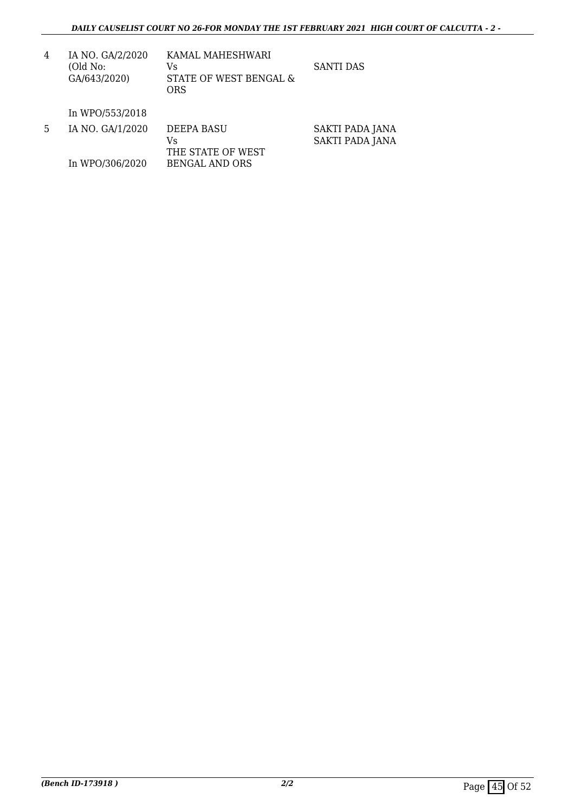| 4 | IA NO. GA/2/2020<br>(Old No:<br>GA/643/2020) | KAMAL MAHESHWARI<br>Vs<br>STATE OF WEST BENGAL &<br>ORS | SANTI DAS |
|---|----------------------------------------------|---------------------------------------------------------|-----------|
|   | In WPO/553/2018                              |                                                         |           |

| 5 | IA NO. GA/1/2020 | DEEPA BASU<br>Vs  | SAKTI PADA JANA |
|---|------------------|-------------------|-----------------|
|   |                  | THE STATE OF WEST | SAKTI PADA JANA |
|   | In WPO/306/2020  | BENGAL AND ORS    |                 |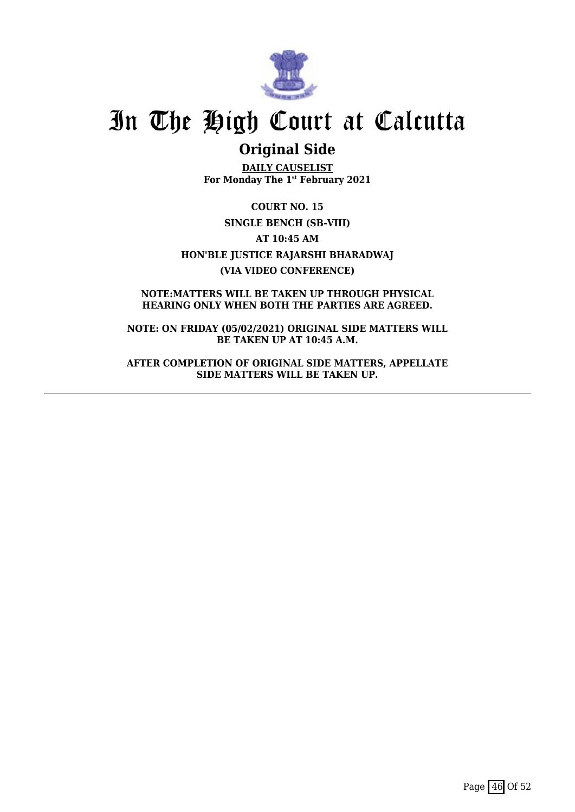

### **Original Side**

**DAILY CAUSELIST For Monday The 1st February 2021**

**COURT NO. 15 SINGLE BENCH (SB-VIII) AT 10:45 AM HON'BLE JUSTICE RAJARSHI BHARADWAJ (VIA VIDEO CONFERENCE)**

**NOTE:MATTERS WILL BE TAKEN UP THROUGH PHYSICAL HEARING ONLY WHEN BOTH THE PARTIES ARE AGREED.**

**NOTE: ON FRIDAY (05/02/2021) ORIGINAL SIDE MATTERS WILL BE TAKEN UP AT 10:45 A.M.**

**AFTER COMPLETION OF ORIGINAL SIDE MATTERS, APPELLATE SIDE MATTERS WILL BE TAKEN UP.**

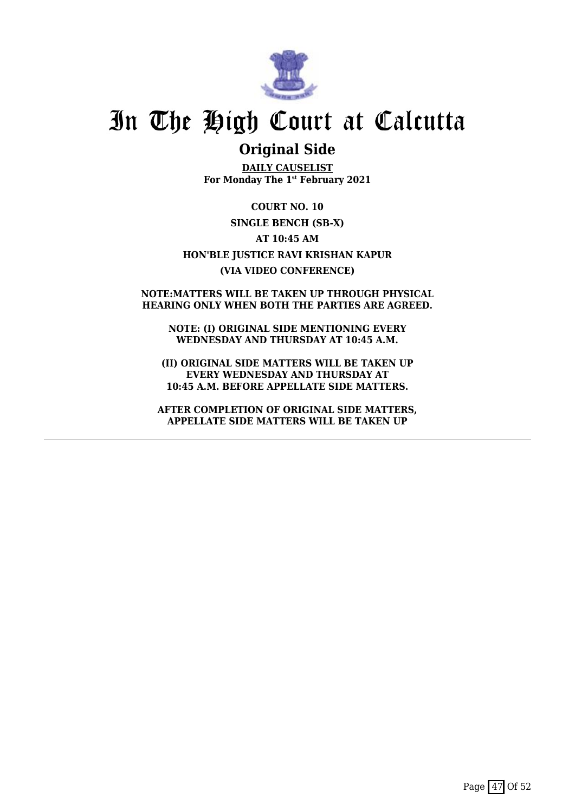

### **Original Side**

**DAILY CAUSELIST For Monday The 1st February 2021**

**COURT NO. 10 SINGLE BENCH (SB-X) AT 10:45 AM HON'BLE JUSTICE RAVI KRISHAN KAPUR (VIA VIDEO CONFERENCE)**

#### **NOTE:MATTERS WILL BE TAKEN UP THROUGH PHYSICAL HEARING ONLY WHEN BOTH THE PARTIES ARE AGREED.**

**NOTE: (I) ORIGINAL SIDE MENTIONING EVERY WEDNESDAY AND THURSDAY AT 10:45 A.M.**

**(II) ORIGINAL SIDE MATTERS WILL BE TAKEN UP EVERY WEDNESDAY AND THURSDAY AT 10:45 A.M. BEFORE APPELLATE SIDE MATTERS.**

**AFTER COMPLETION OF ORIGINAL SIDE MATTERS, APPELLATE SIDE MATTERS WILL BE TAKEN UP**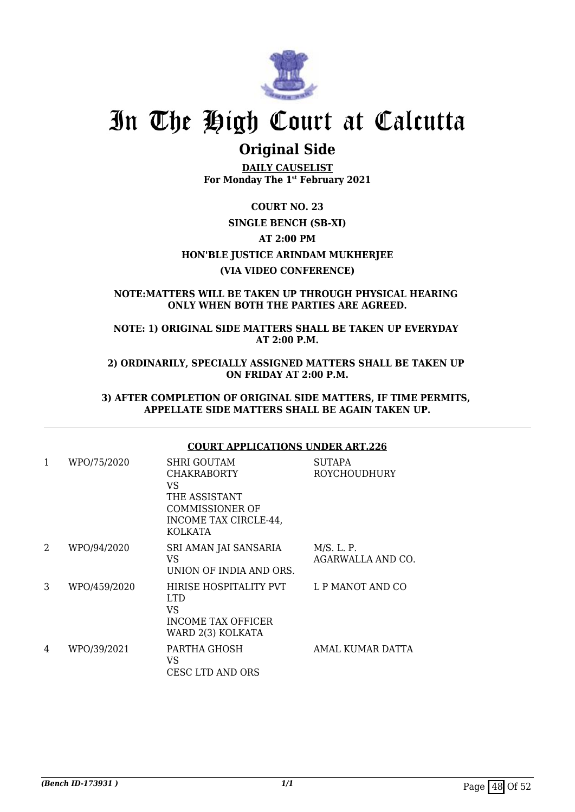

### **Original Side**

**DAILY CAUSELIST For Monday The 1st February 2021**

### **COURT NO. 23 SINGLE BENCH (SB-XI) AT 2:00 PM HON'BLE JUSTICE ARINDAM MUKHERJEE (VIA VIDEO CONFERENCE)**

#### **NOTE:MATTERS WILL BE TAKEN UP THROUGH PHYSICAL HEARING ONLY WHEN BOTH THE PARTIES ARE AGREED.**

**NOTE: 1) ORIGINAL SIDE MATTERS SHALL BE TAKEN UP EVERYDAY AT 2:00 P.M.**

**2) ORDINARILY, SPECIALLY ASSIGNED MATTERS SHALL BE TAKEN UP ON FRIDAY AT 2:00 P.M.**

**3) AFTER COMPLETION OF ORIGINAL SIDE MATTERS, IF TIME PERMITS, APPELLATE SIDE MATTERS SHALL BE AGAIN TAKEN UP.**

#### **COURT APPLICATIONS UNDER ART.226**

| 1 | WPO/75/2020  | SHRI GOUTAM<br><b>CHAKRABORTY</b><br>VS<br>THE ASSISTANT<br><b>COMMISSIONER OF</b><br>INCOME TAX CIRCLE-44, | <b>SUTAPA</b><br><b>ROYCHOUDHURY</b> |
|---|--------------|-------------------------------------------------------------------------------------------------------------|--------------------------------------|
|   |              | <b>KOLKATA</b>                                                                                              |                                      |
| 2 | WPO/94/2020  | SRI AMAN JAI SANSARIA<br>VS<br>UNION OF INDIA AND ORS.                                                      | M/S. L. P.<br>AGARWALLA AND CO.      |
| 3 | WPO/459/2020 | HIRISE HOSPITALITY PVT<br><b>LTD</b><br>VS<br><b>INCOME TAX OFFICER</b><br>WARD 2(3) KOLKATA                | L P MANOT AND CO                     |
| 4 | WPO/39/2021  | PARTHA GHOSH<br>VS<br>CESC LTD AND ORS                                                                      | AMAL KUMAR DATTA                     |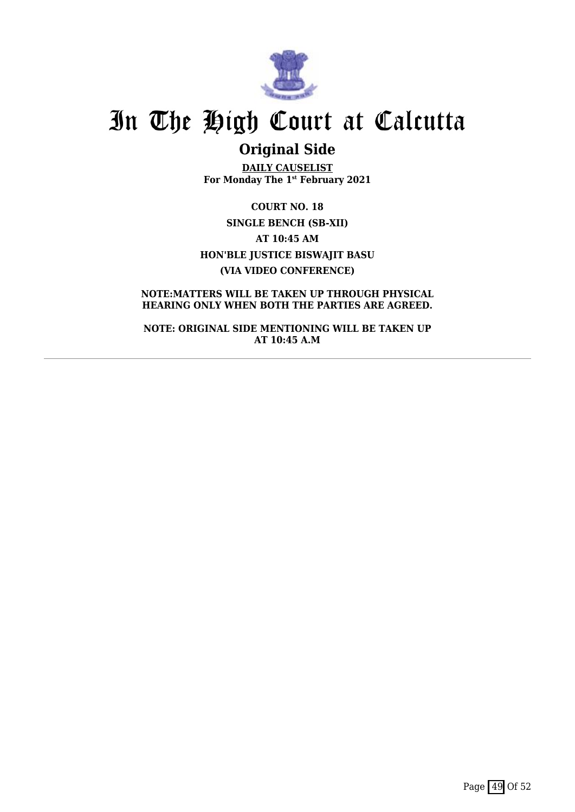

## **Original Side**

**DAILY CAUSELIST For Monday The 1st February 2021**

**COURT NO. 18 SINGLE BENCH (SB-XII) AT 10:45 AM HON'BLE JUSTICE BISWAJIT BASU (VIA VIDEO CONFERENCE)**

**NOTE:MATTERS WILL BE TAKEN UP THROUGH PHYSICAL HEARING ONLY WHEN BOTH THE PARTIES ARE AGREED.**

**NOTE: ORIGINAL SIDE MENTIONING WILL BE TAKEN UP AT 10:45 A.M**

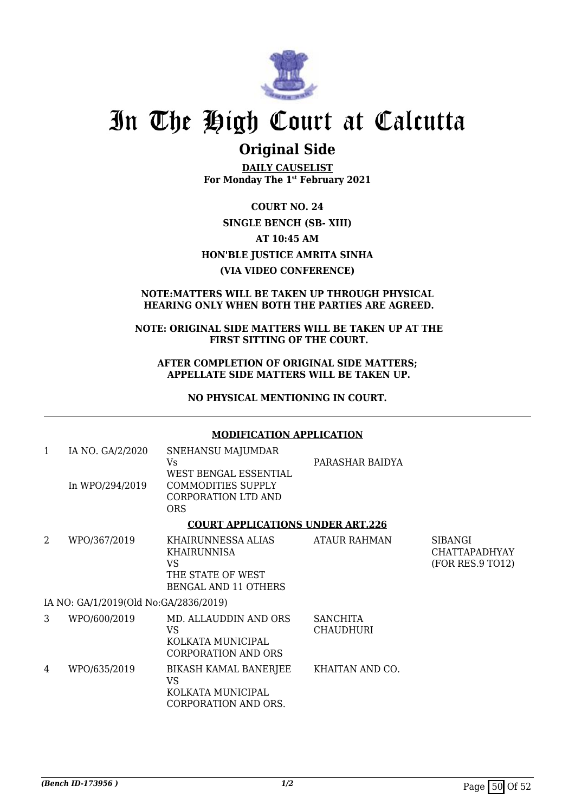

### **Original Side**

**DAILY CAUSELIST For Monday The 1st February 2021**

**COURT NO. 24 SINGLE BENCH (SB- XIII) AT 10:45 AM HON'BLE JUSTICE AMRITA SINHA (VIA VIDEO CONFERENCE)**

#### **NOTE:MATTERS WILL BE TAKEN UP THROUGH PHYSICAL HEARING ONLY WHEN BOTH THE PARTIES ARE AGREED.**

#### **NOTE: ORIGINAL SIDE MATTERS WILL BE TAKEN UP AT THE FIRST SITTING OF THE COURT.**

**AFTER COMPLETION OF ORIGINAL SIDE MATTERS; APPELLATE SIDE MATTERS WILL BE TAKEN UP.**

**NO PHYSICAL MENTIONING IN COURT.**

#### **MODIFICATION APPLICATION**

| 1                                     | IA NO. GA/2/2020<br>In WPO/294/2019     | SNEHANSU MAJUMDAR<br>Vs.<br>WEST BENGAL ESSENTIAL<br><b>COMMODITIES SUPPLY</b><br><b>CORPORATION LTD AND</b><br><b>ORS</b> | PARASHAR BAIDYA                     |                                                            |  |  |
|---------------------------------------|-----------------------------------------|----------------------------------------------------------------------------------------------------------------------------|-------------------------------------|------------------------------------------------------------|--|--|
|                                       | <b>COURT APPLICATIONS UNDER ART.226</b> |                                                                                                                            |                                     |                                                            |  |  |
| 2                                     | WPO/367/2019                            | KHAIRUNNESSA ALIAS<br>KHAIRUNNISA<br><b>VS</b><br>THE STATE OF WEST<br><b>BENGAL AND 11 OTHERS</b>                         | <b>ATAUR RAHMAN</b>                 | <b>SIBANGI</b><br><b>CHATTAPADHYAY</b><br>(FOR RES.9 TO12) |  |  |
| IA NO: GA/1/2019(Old No:GA/2836/2019) |                                         |                                                                                                                            |                                     |                                                            |  |  |
| 3                                     | WPO/600/2019                            | MD. ALLAUDDIN AND ORS<br>VS<br>KOLKATA MUNICIPAL<br><b>CORPORATION AND ORS</b>                                             | <b>SANCHITA</b><br><b>CHAUDHURI</b> |                                                            |  |  |
| 4                                     | WPO/635/2019                            | BIKASH KAMAL BANERJEE<br><b>VS</b><br>KOLKATA MUNICIPAL<br>CORPORATION AND ORS.                                            | KHAITAN AND CO.                     |                                                            |  |  |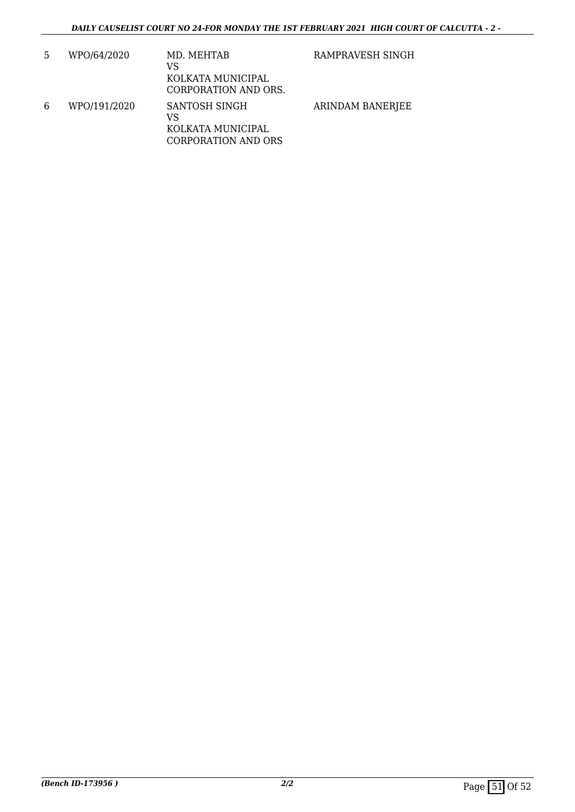| 5 | WPO/64/2020  | MD. MEHTAB<br>VS<br>KOLKATA MUNICIPAL<br>CORPORATION AND ORS.   | RAMPRAVESH SINGH |
|---|--------------|-----------------------------------------------------------------|------------------|
| 6 | WPO/191/2020 | SANTOSH SINGH<br>VS<br>KOLKATA MUNICIPAL<br>CORPORATION AND ORS | ARINDAM BANERJEE |